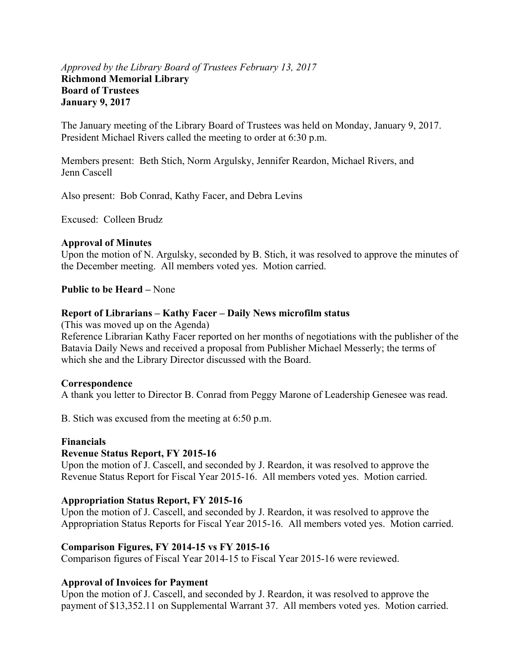#### *Approved by the Library Board of Trustees February 13, 2017* **Richmond Memorial Library Board of Trustees January 9, 2017**

The January meeting of the Library Board of Trustees was held on Monday, January 9, 2017. President Michael Rivers called the meeting to order at 6:30 p.m.

Members present: Beth Stich, Norm Argulsky, Jennifer Reardon, Michael Rivers, and Jenn Cascell

Also present: Bob Conrad, Kathy Facer, and Debra Levins

Excused: Colleen Brudz

#### **Approval of Minutes**

Upon the motion of N. Argulsky, seconded by B. Stich, it was resolved to approve the minutes of the December meeting. All members voted yes. Motion carried.

**Public to be Heard –** None

#### **Report of Librarians – Kathy Facer – Daily News microfilm status**

(This was moved up on the Agenda)

Reference Librarian Kathy Facer reported on her months of negotiations with the publisher of the Batavia Daily News and received a proposal from Publisher Michael Messerly; the terms of which she and the Library Director discussed with the Board.

#### **Correspondence**

A thank you letter to Director B. Conrad from Peggy Marone of Leadership Genesee was read.

B. Stich was excused from the meeting at 6:50 p.m.

#### **Financials**

#### **Revenue Status Report, FY 2015-16**

Upon the motion of J. Cascell, and seconded by J. Reardon, it was resolved to approve the Revenue Status Report for Fiscal Year 2015-16. All members voted yes. Motion carried.

#### **Appropriation Status Report, FY 2015-16**

Upon the motion of J. Cascell, and seconded by J. Reardon, it was resolved to approve the Appropriation Status Reports for Fiscal Year 2015-16. All members voted yes. Motion carried.

#### **Comparison Figures, FY 2014-15 vs FY 2015-16**

Comparison figures of Fiscal Year 2014-15 to Fiscal Year 2015-16 were reviewed.

#### **Approval of Invoices for Payment**

Upon the motion of J. Cascell, and seconded by J. Reardon, it was resolved to approve the payment of \$13,352.11 on Supplemental Warrant 37. All members voted yes. Motion carried.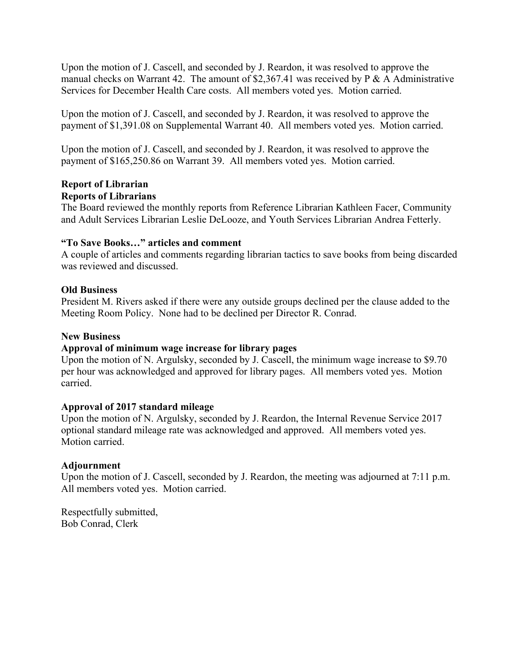Upon the motion of J. Cascell, and seconded by J. Reardon, it was resolved to approve the manual checks on Warrant 42. The amount of \$2,367.41 was received by  $P \& A$  Administrative Services for December Health Care costs. All members voted yes. Motion carried.

Upon the motion of J. Cascell, and seconded by J. Reardon, it was resolved to approve the payment of \$1,391.08 on Supplemental Warrant 40. All members voted yes. Motion carried.

Upon the motion of J. Cascell, and seconded by J. Reardon, it was resolved to approve the payment of \$165,250.86 on Warrant 39. All members voted yes. Motion carried.

#### **Report of Librarian Reports of Librarians**

The Board reviewed the monthly reports from Reference Librarian Kathleen Facer, Community and Adult Services Librarian Leslie DeLooze, and Youth Services Librarian Andrea Fetterly.

#### **"To Save Books…" articles and comment**

A couple of articles and comments regarding librarian tactics to save books from being discarded was reviewed and discussed.

#### **Old Business**

President M. Rivers asked if there were any outside groups declined per the clause added to the Meeting Room Policy. None had to be declined per Director R. Conrad.

#### **New Business**

#### **Approval of minimum wage increase for library pages**

Upon the motion of N. Argulsky, seconded by J. Cascell, the minimum wage increase to \$9.70 per hour was acknowledged and approved for library pages. All members voted yes. Motion carried.

#### **Approval of 2017 standard mileage**

Upon the motion of N. Argulsky, seconded by J. Reardon, the Internal Revenue Service 2017 optional standard mileage rate was acknowledged and approved. All members voted yes. Motion carried.

#### **Adjournment**

Upon the motion of J. Cascell, seconded by J. Reardon, the meeting was adjourned at 7:11 p.m. All members voted yes. Motion carried.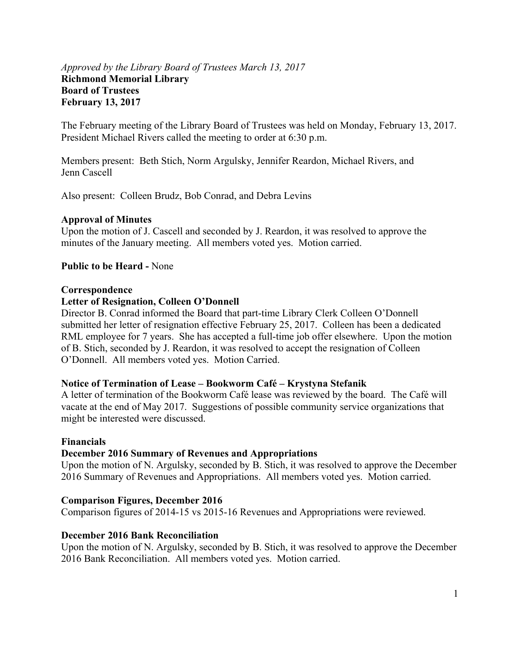#### *Approved by the Library Board of Trustees March 13, 2017* **Richmond Memorial Library Board of Trustees February 13, 2017**

The February meeting of the Library Board of Trustees was held on Monday, February 13, 2017. President Michael Rivers called the meeting to order at 6:30 p.m.

Members present: Beth Stich, Norm Argulsky, Jennifer Reardon, Michael Rivers, and Jenn Cascell

Also present: Colleen Brudz, Bob Conrad, and Debra Levins

#### **Approval of Minutes**

Upon the motion of J. Cascell and seconded by J. Reardon, it was resolved to approve the minutes of the January meeting. All members voted yes. Motion carried.

#### **Public to be Heard -** None

#### **Correspondence**

#### **Letter of Resignation, Colleen O'Donnell**

Director B. Conrad informed the Board that part-time Library Clerk Colleen O'Donnell submitted her letter of resignation effective February 25, 2017. Colleen has been a dedicated RML employee for 7 years. She has accepted a full-time job offer elsewhere. Upon the motion of B. Stich, seconded by J. Reardon, it was resolved to accept the resignation of Colleen O'Donnell. All members voted yes. Motion Carried.

#### **Notice of Termination of Lease – Bookworm Café – Krystyna Stefanik**

A letter of termination of the Bookworm Café lease was reviewed by the board. The Café will vacate at the end of May 2017. Suggestions of possible community service organizations that might be interested were discussed.

#### **Financials**

#### **December 2016 Summary of Revenues and Appropriations**

Upon the motion of N. Argulsky, seconded by B. Stich, it was resolved to approve the December 2016 Summary of Revenues and Appropriations. All members voted yes. Motion carried.

#### **Comparison Figures, December 2016**

Comparison figures of 2014-15 vs 2015-16 Revenues and Appropriations were reviewed.

#### **December 2016 Bank Reconciliation**

Upon the motion of N. Argulsky, seconded by B. Stich, it was resolved to approve the December 2016 Bank Reconciliation. All members voted yes. Motion carried.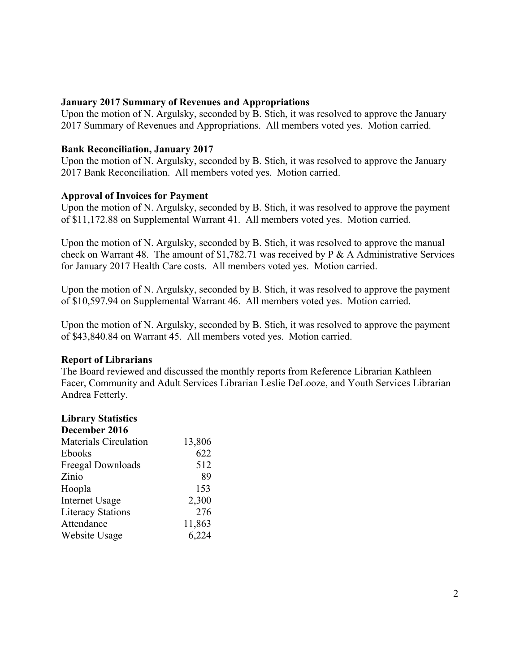#### **January 2017 Summary of Revenues and Appropriations**

Upon the motion of N. Argulsky, seconded by B. Stich, it was resolved to approve the January 2017 Summary of Revenues and Appropriations. All members voted yes. Motion carried.

#### **Bank Reconciliation, January 2017**

Upon the motion of N. Argulsky, seconded by B. Stich, it was resolved to approve the January 2017 Bank Reconciliation. All members voted yes. Motion carried.

#### **Approval of Invoices for Payment**

Upon the motion of N. Argulsky, seconded by B. Stich, it was resolved to approve the payment of \$11,172.88 on Supplemental Warrant 41. All members voted yes. Motion carried.

Upon the motion of N. Argulsky, seconded by B. Stich, it was resolved to approve the manual check on Warrant 48. The amount of \$1,782.71 was received by P & A Administrative Services for January 2017 Health Care costs. All members voted yes. Motion carried.

Upon the motion of N. Argulsky, seconded by B. Stich, it was resolved to approve the payment of \$10,597.94 on Supplemental Warrant 46. All members voted yes. Motion carried.

Upon the motion of N. Argulsky, seconded by B. Stich, it was resolved to approve the payment of \$43,840.84 on Warrant 45. All members voted yes. Motion carried.

#### **Report of Librarians**

The Board reviewed and discussed the monthly reports from Reference Librarian Kathleen Facer, Community and Adult Services Librarian Leslie DeLooze, and Youth Services Librarian Andrea Fetterly.

#### **Library Statistics**

| December 2016                |        |
|------------------------------|--------|
| <b>Materials Circulation</b> | 13,806 |
| <b>Ebooks</b>                | 622    |
| Freegal Downloads            | 512    |
| Zinio                        | 89     |
| Hoopla                       | 153    |
| <b>Internet Usage</b>        | 2,300  |
| <b>Literacy Stations</b>     | 276    |
| Attendance                   | 11,863 |
| Website Usage                | 6,224  |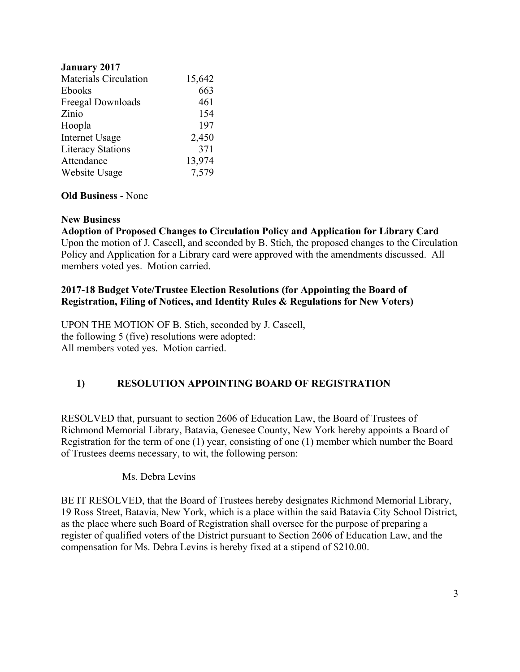| <b>January 2017</b>          |        |
|------------------------------|--------|
| <b>Materials Circulation</b> | 15,642 |
| <b>Ebooks</b>                | 663    |
| Freegal Downloads            | 461    |
| Zinio                        | 154    |
| Hoopla                       | 197    |
| <b>Internet Usage</b>        | 2,450  |
| <b>Literacy Stations</b>     | 371    |
| Attendance                   | 13,974 |
| Website Usage                | 7,579  |
|                              |        |

#### **Old Business** - None

#### **New Business**

# **Adoption of Proposed Changes to Circulation Policy and Application for Library Card**

Upon the motion of J. Cascell, and seconded by B. Stich, the proposed changes to the Circulation Policy and Application for a Library card were approved with the amendments discussed. All members voted yes. Motion carried.

#### **2017-18 Budget Vote/Trustee Election Resolutions (for Appointing the Board of Registration, Filing of Notices, and Identity Rules & Regulations for New Voters)**

UPON THE MOTION OF B. Stich, seconded by J. Cascell, the following 5 (five) resolutions were adopted: All members voted yes. Motion carried.

#### **1) RESOLUTION APPOINTING BOARD OF REGISTRATION**

RESOLVED that, pursuant to section 2606 of Education Law, the Board of Trustees of Richmond Memorial Library, Batavia, Genesee County, New York hereby appoints a Board of Registration for the term of one (1) year, consisting of one (1) member which number the Board of Trustees deems necessary, to wit, the following person:

#### Ms. Debra Levins

BE IT RESOLVED, that the Board of Trustees hereby designates Richmond Memorial Library, 19 Ross Street, Batavia, New York, which is a place within the said Batavia City School District, as the place where such Board of Registration shall oversee for the purpose of preparing a register of qualified voters of the District pursuant to Section 2606 of Education Law, and the compensation for Ms. Debra Levins is hereby fixed at a stipend of \$210.00.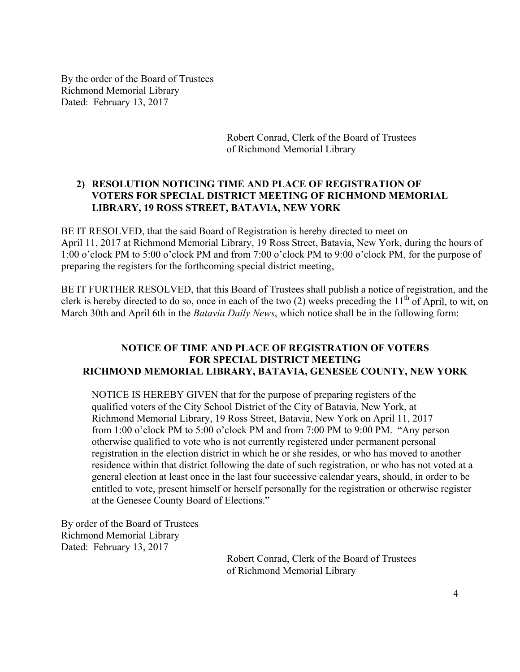By the order of the Board of Trustees Richmond Memorial Library Dated: February 13, 2017

> Robert Conrad, Clerk of the Board of Trustees of Richmond Memorial Library

#### **2) RESOLUTION NOTICING TIME AND PLACE OF REGISTRATION OF VOTERS FOR SPECIAL DISTRICT MEETING OF RICHMOND MEMORIAL LIBRARY, 19 ROSS STREET, BATAVIA, NEW YORK**

BE IT RESOLVED, that the said Board of Registration is hereby directed to meet on April 11, 2017 at Richmond Memorial Library, 19 Ross Street, Batavia, New York, during the hours of 1:00 o'clock PM to 5:00 o'clock PM and from 7:00 o'clock PM to 9:00 o'clock PM, for the purpose of preparing the registers for the forthcoming special district meeting,

BE IT FURTHER RESOLVED, that this Board of Trustees shall publish a notice of registration, and the clerk is hereby directed to do so, once in each of the two (2) weeks preceding the  $11<sup>th</sup>$  of April, to wit, on March 30th and April 6th in the *Batavia Daily News*, which notice shall be in the following form:

#### **NOTICE OF TIME AND PLACE OF REGISTRATION OF VOTERS FOR SPECIAL DISTRICT MEETING RICHMOND MEMORIAL LIBRARY, BATAVIA, GENESEE COUNTY, NEW YORK**

NOTICE IS HEREBY GIVEN that for the purpose of preparing registers of the qualified voters of the City School District of the City of Batavia, New York, at Richmond Memorial Library, 19 Ross Street, Batavia, New York on April 11, 2017 from 1:00 o'clock PM to 5:00 o'clock PM and from 7:00 PM to 9:00 PM. "Any person otherwise qualified to vote who is not currently registered under permanent personal registration in the election district in which he or she resides, or who has moved to another residence within that district following the date of such registration, or who has not voted at a general election at least once in the last four successive calendar years, should, in order to be entitled to vote, present himself or herself personally for the registration or otherwise register at the Genesee County Board of Elections."

By order of the Board of Trustees Richmond Memorial Library Dated: February 13, 2017

> Robert Conrad, Clerk of the Board of Trustees of Richmond Memorial Library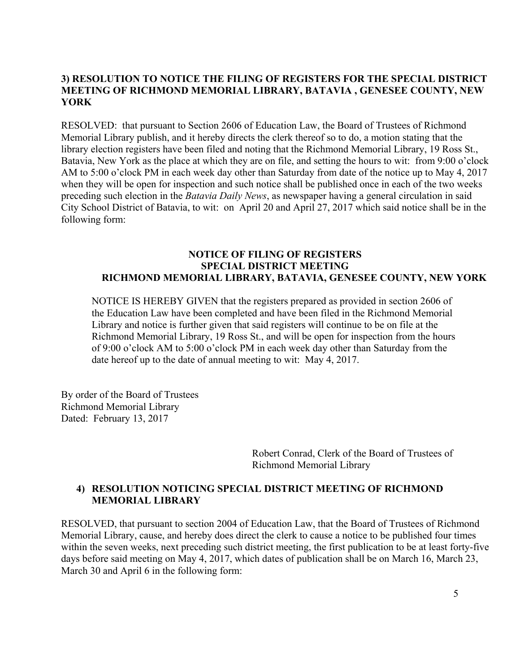#### **3) RESOLUTION TO NOTICE THE FILING OF REGISTERS FOR THE SPECIAL DISTRICT MEETING OF RICHMOND MEMORIAL LIBRARY, BATAVIA , GENESEE COUNTY, NEW YORK**

RESOLVED: that pursuant to Section 2606 of Education Law, the Board of Trustees of Richmond Memorial Library publish, and it hereby directs the clerk thereof so to do, a motion stating that the library election registers have been filed and noting that the Richmond Memorial Library, 19 Ross St., Batavia, New York as the place at which they are on file, and setting the hours to wit: from 9:00 o'clock AM to 5:00 o'clock PM in each week day other than Saturday from date of the notice up to May 4, 2017 when they will be open for inspection and such notice shall be published once in each of the two weeks preceding such election in the *Batavia Daily News*, as newspaper having a general circulation in said City School District of Batavia, to wit: on April 20 and April 27, 2017 which said notice shall be in the following form:

#### **NOTICE OF FILING OF REGISTERS SPECIAL DISTRICT MEETING RICHMOND MEMORIAL LIBRARY, BATAVIA, GENESEE COUNTY, NEW YORK**

NOTICE IS HEREBY GIVEN that the registers prepared as provided in section 2606 of the Education Law have been completed and have been filed in the Richmond Memorial Library and notice is further given that said registers will continue to be on file at the Richmond Memorial Library, 19 Ross St., and will be open for inspection from the hours of 9:00 o'clock AM to 5:00 o'clock PM in each week day other than Saturday from the date hereof up to the date of annual meeting to wit: May 4, 2017.

By order of the Board of Trustees Richmond Memorial Library Dated: February 13, 2017

> Robert Conrad, Clerk of the Board of Trustees of Richmond Memorial Library

#### **4) RESOLUTION NOTICING SPECIAL DISTRICT MEETING OF RICHMOND MEMORIAL LIBRARY**

RESOLVED, that pursuant to section 2004 of Education Law, that the Board of Trustees of Richmond Memorial Library, cause, and hereby does direct the clerk to cause a notice to be published four times within the seven weeks, next preceding such district meeting, the first publication to be at least forty-five days before said meeting on May 4, 2017, which dates of publication shall be on March 16, March 23, March 30 and April 6 in the following form: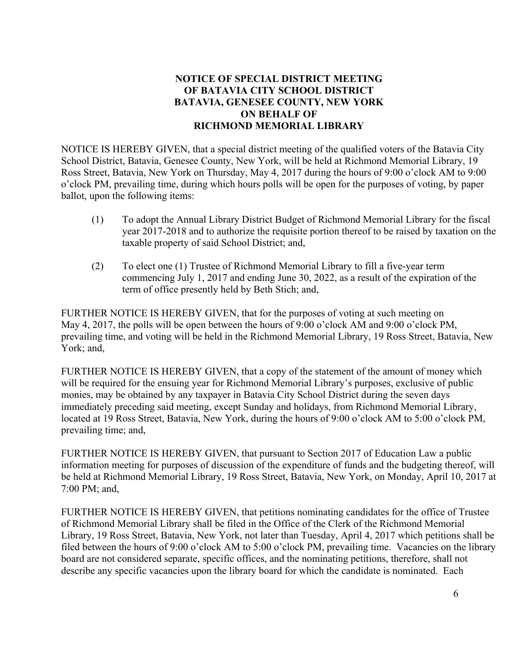#### **NOTICE OF SPECIAL DISTRICT MEETING OF BATAVIA CITY SCHOOL DISTRICT BATAVIA, GENESEE COUNTY, NEW YORK ON BEHALF OF RICHMOND MEMORIAL LIBRARY**

NOTICE IS HEREBY GIVEN, that a special district meeting of the qualified voters of the Batavia City School District, Batavia, Genesee County, New York, will be held at Richmond Memorial Library, 19 Ross Street, Batavia, New York on Thursday, May 4, 2017 during the hours of 9:00 o'clock AM to 9:00 o'clock PM, prevailing time, during which hours polls will be open for the purposes of voting, by paper ballot, upon the following items:

- (1) To adopt the Annual Library District Budget of Richmond Memorial Library for the fiscal year 2017-2018 and to authorize the requisite portion thereof to be raised by taxation on the taxable property of said School District; and,
- (2) To elect one (1) Trustee of Richmond Memorial Library to fill a five-year term commencing July 1, 2017 and ending June 30, 2022, as a result of the expiration of the term of office presently held by Beth Stich; and,

FURTHER NOTICE IS HEREBY GIVEN, that for the purposes of voting at such meeting on May 4, 2017, the polls will be open between the hours of 9:00 o'clock AM and 9:00 o'clock PM, prevailing time, and voting will be held in the Richmond Memorial Library, 19 Ross Street, Batavia, New York; and,

FURTHER NOTICE IS HEREBY GIVEN, that a copy of the statement of the amount of money which will be required for the ensuing year for Richmond Memorial Library's purposes, exclusive of public monies, may be obtained by any taxpayer in Batavia City School District during the seven days immediately preceding said meeting, except Sunday and holidays, from Richmond Memorial Library, located at 19 Ross Street, Batavia, New York, during the hours of 9:00 o'clock AM to 5:00 o'clock PM, prevailing time; and,

FURTHER NOTICE IS HEREBY GIVEN, that pursuant to Section 2017 of Education Law a public information meeting for purposes of discussion of the expenditure of funds and the budgeting thereof, will be held at Richmond Memorial Library, 19 Ross Street, Batavia, New York, on Monday, April 10, 2017 at 7:00 PM; and,

FURTHER NOTICE IS HEREBY GIVEN, that petitions nominating candidates for the office of Trustee of Richmond Memorial Library shall be filed in the Office of the Clerk of the Richmond Memorial Library, 19 Ross Street, Batavia, New York, not later than Tuesday, April 4, 2017 which petitions shall be filed between the hours of 9:00 o'clock AM to 5:00 o'clock PM, prevailing time. Vacancies on the library board are not considered separate, specific offices, and the nominating petitions, therefore, shall not describe any specific vacancies upon the library board for which the candidate is nominated. Each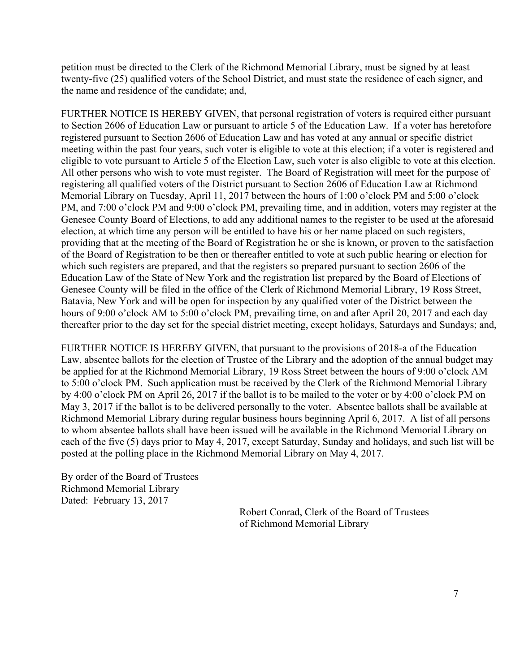petition must be directed to the Clerk of the Richmond Memorial Library, must be signed by at least twenty-five (25) qualified voters of the School District, and must state the residence of each signer, and the name and residence of the candidate; and,

FURTHER NOTICE IS HEREBY GIVEN, that personal registration of voters is required either pursuant to Section 2606 of Education Law or pursuant to article 5 of the Education Law. If a voter has heretofore registered pursuant to Section 2606 of Education Law and has voted at any annual or specific district meeting within the past four years, such voter is eligible to vote at this election; if a voter is registered and eligible to vote pursuant to Article 5 of the Election Law, such voter is also eligible to vote at this election. All other persons who wish to vote must register. The Board of Registration will meet for the purpose of registering all qualified voters of the District pursuant to Section 2606 of Education Law at Richmond Memorial Library on Tuesday, April 11, 2017 between the hours of 1:00 o'clock PM and 5:00 o'clock PM, and 7:00 o'clock PM and 9:00 o'clock PM, prevailing time, and in addition, voters may register at the Genesee County Board of Elections, to add any additional names to the register to be used at the aforesaid election, at which time any person will be entitled to have his or her name placed on such registers, providing that at the meeting of the Board of Registration he or she is known, or proven to the satisfaction of the Board of Registration to be then or thereafter entitled to vote at such public hearing or election for which such registers are prepared, and that the registers so prepared pursuant to section 2606 of the Education Law of the State of New York and the registration list prepared by the Board of Elections of Genesee County will be filed in the office of the Clerk of Richmond Memorial Library, 19 Ross Street, Batavia, New York and will be open for inspection by any qualified voter of the District between the hours of 9:00 o'clock AM to 5:00 o'clock PM, prevailing time, on and after April 20, 2017 and each day thereafter prior to the day set for the special district meeting, except holidays, Saturdays and Sundays; and,

FURTHER NOTICE IS HEREBY GIVEN, that pursuant to the provisions of 2018-a of the Education Law, absentee ballots for the election of Trustee of the Library and the adoption of the annual budget may be applied for at the Richmond Memorial Library, 19 Ross Street between the hours of 9:00 o'clock AM to 5:00 o'clock PM. Such application must be received by the Clerk of the Richmond Memorial Library by 4:00 o'clock PM on April 26, 2017 if the ballot is to be mailed to the voter or by 4:00 o'clock PM on May 3, 2017 if the ballot is to be delivered personally to the voter. Absentee ballots shall be available at Richmond Memorial Library during regular business hours beginning April 6, 2017. A list of all persons to whom absentee ballots shall have been issued will be available in the Richmond Memorial Library on each of the five (5) days prior to May 4, 2017, except Saturday, Sunday and holidays, and such list will be posted at the polling place in the Richmond Memorial Library on May 4, 2017.

By order of the Board of Trustees Richmond Memorial Library Dated: February 13, 2017

> Robert Conrad, Clerk of the Board of Trustees of Richmond Memorial Library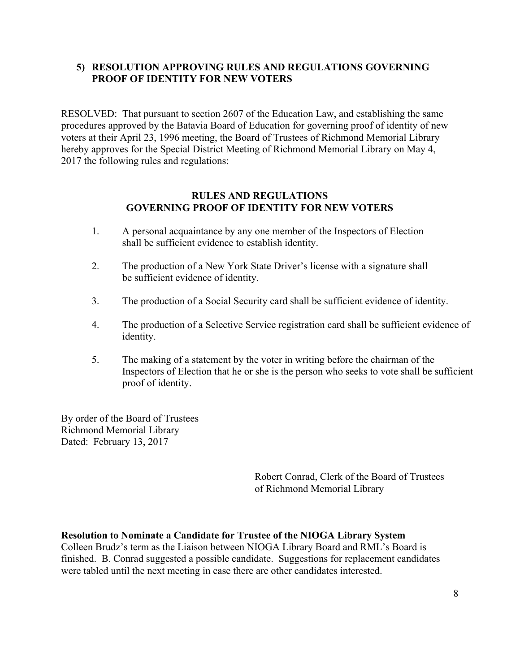#### **5) RESOLUTION APPROVING RULES AND REGULATIONS GOVERNING PROOF OF IDENTITY FOR NEW VOTERS**

RESOLVED: That pursuant to section 2607 of the Education Law, and establishing the same procedures approved by the Batavia Board of Education for governing proof of identity of new voters at their April 23, 1996 meeting, the Board of Trustees of Richmond Memorial Library hereby approves for the Special District Meeting of Richmond Memorial Library on May 4, 2017 the following rules and regulations:

#### **RULES AND REGULATIONS GOVERNING PROOF OF IDENTITY FOR NEW VOTERS**

- 1. A personal acquaintance by any one member of the Inspectors of Election shall be sufficient evidence to establish identity.
- 2. The production of a New York State Driver's license with a signature shall be sufficient evidence of identity.
- 3. The production of a Social Security card shall be sufficient evidence of identity.
- 4. The production of a Selective Service registration card shall be sufficient evidence of identity.
- 5. The making of a statement by the voter in writing before the chairman of the Inspectors of Election that he or she is the person who seeks to vote shall be sufficient proof of identity.

By order of the Board of Trustees Richmond Memorial Library Dated: February 13, 2017

> Robert Conrad, Clerk of the Board of Trustees of Richmond Memorial Library

#### **Resolution to Nominate a Candidate for Trustee of the NIOGA Library System**

Colleen Brudz's term as the Liaison between NIOGA Library Board and RML's Board is finished. B. Conrad suggested a possible candidate. Suggestions for replacement candidates were tabled until the next meeting in case there are other candidates interested.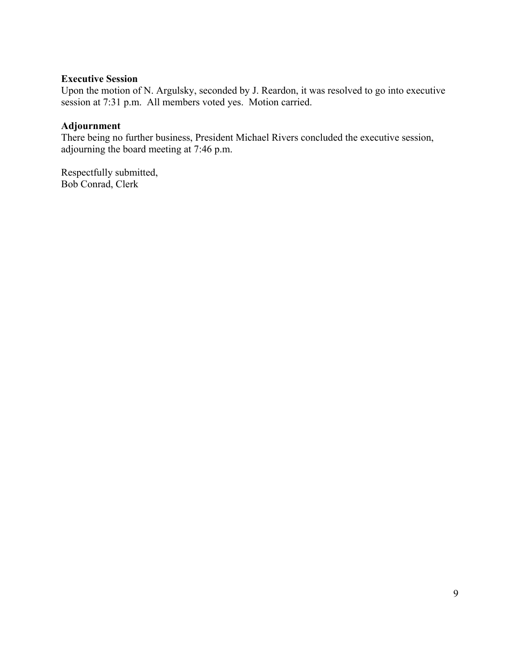#### **Executive Session**

Upon the motion of N. Argulsky, seconded by J. Reardon, it was resolved to go into executive session at 7:31 p.m. All members voted yes. Motion carried.

#### **Adjournment**

There being no further business, President Michael Rivers concluded the executive session, adjourning the board meeting at 7:46 p.m.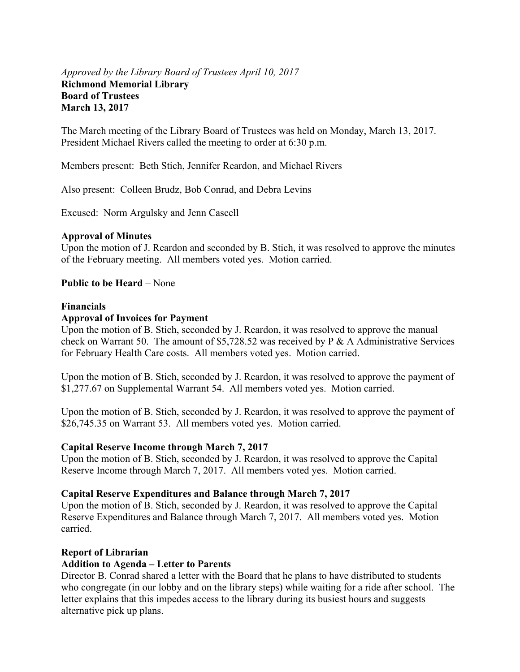#### *Approved by the Library Board of Trustees April 10, 2017*  **Richmond Memorial Library Board of Trustees March 13, 2017**

The March meeting of the Library Board of Trustees was held on Monday, March 13, 2017. President Michael Rivers called the meeting to order at 6:30 p.m.

Members present: Beth Stich, Jennifer Reardon, and Michael Rivers

Also present: Colleen Brudz, Bob Conrad, and Debra Levins

Excused: Norm Argulsky and Jenn Cascell

#### **Approval of Minutes**

Upon the motion of J. Reardon and seconded by B. Stich, it was resolved to approve the minutes of the February meeting. All members voted yes. Motion carried.

#### **Public to be Heard** – None

#### **Financials**

#### **Approval of Invoices for Payment**

Upon the motion of B. Stich, seconded by J. Reardon, it was resolved to approve the manual check on Warrant 50. The amount of \$5,728.52 was received by P & A Administrative Services for February Health Care costs. All members voted yes. Motion carried.

Upon the motion of B. Stich, seconded by J. Reardon, it was resolved to approve the payment of \$1,277.67 on Supplemental Warrant 54. All members voted yes. Motion carried.

Upon the motion of B. Stich, seconded by J. Reardon, it was resolved to approve the payment of \$26,745.35 on Warrant 53. All members voted yes. Motion carried.

#### **Capital Reserve Income through March 7, 2017**

Upon the motion of B. Stich, seconded by J. Reardon, it was resolved to approve the Capital Reserve Income through March 7, 2017. All members voted yes. Motion carried.

#### **Capital Reserve Expenditures and Balance through March 7, 2017**

Upon the motion of B. Stich, seconded by J. Reardon, it was resolved to approve the Capital Reserve Expenditures and Balance through March 7, 2017. All members voted yes. Motion carried.

#### **Report of Librarian**

#### **Addition to Agenda – Letter to Parents**

Director B. Conrad shared a letter with the Board that he plans to have distributed to students who congregate (in our lobby and on the library steps) while waiting for a ride after school. The letter explains that this impedes access to the library during its busiest hours and suggests alternative pick up plans.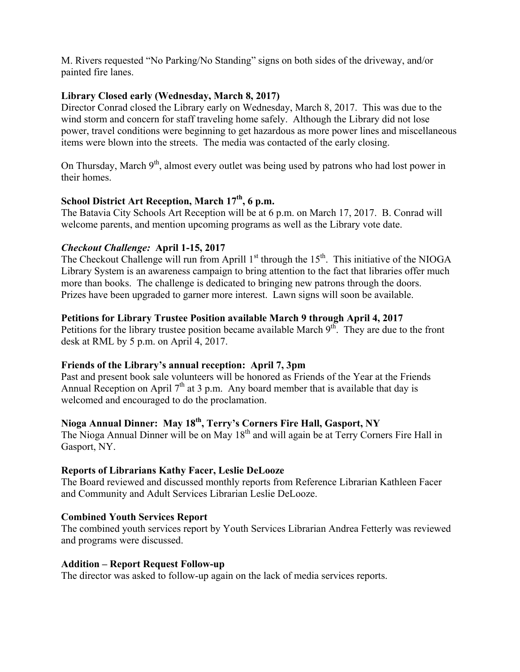M. Rivers requested "No Parking/No Standing" signs on both sides of the driveway, and/or painted fire lanes.

#### **Library Closed early (Wednesday, March 8, 2017)**

Director Conrad closed the Library early on Wednesday, March 8, 2017. This was due to the wind storm and concern for staff traveling home safely. Although the Library did not lose power, travel conditions were beginning to get hazardous as more power lines and miscellaneous items were blown into the streets. The media was contacted of the early closing.

On Thursday, March  $9<sup>th</sup>$ , almost every outlet was being used by patrons who had lost power in their homes.

#### **School District Art Reception, March 17<sup>th</sup>, 6 p.m.**

The Batavia City Schools Art Reception will be at 6 p.m. on March 17, 2017. B. Conrad will welcome parents, and mention upcoming programs as well as the Library vote date.

#### *Checkout Challenge:* **April 1-15, 2017**

The Checkout Challenge will run from Aprill  $1<sup>st</sup>$  through the  $15<sup>th</sup>$ . This initiative of the NIOGA Library System is an awareness campaign to bring attention to the fact that libraries offer much more than books. The challenge is dedicated to bringing new patrons through the doors. Prizes have been upgraded to garner more interest. Lawn signs will soon be available.

#### **Petitions for Library Trustee Position available March 9 through April 4, 2017**

Petitions for the library trustee position became available March  $9<sup>th</sup>$ . They are due to the front desk at RML by 5 p.m. on April 4, 2017.

#### **Friends of the Library's annual reception: April 7, 3pm**

Past and present book sale volunteers will be honored as Friends of the Year at the Friends Annual Reception on April  $7<sup>th</sup>$  at 3 p.m. Any board member that is available that day is welcomed and encouraged to do the proclamation.

# **Nioga Annual Dinner: May 18th, Terry's Corners Fire Hall, Gasport, NY**

The Nioga Annual Dinner will be on May 18<sup>th</sup> and will again be at Terry Corners Fire Hall in Gasport, NY.

#### **Reports of Librarians Kathy Facer, Leslie DeLooze**

The Board reviewed and discussed monthly reports from Reference Librarian Kathleen Facer and Community and Adult Services Librarian Leslie DeLooze.

#### **Combined Youth Services Report**

The combined youth services report by Youth Services Librarian Andrea Fetterly was reviewed and programs were discussed.

#### **Addition – Report Request Follow-up**

The director was asked to follow-up again on the lack of media services reports.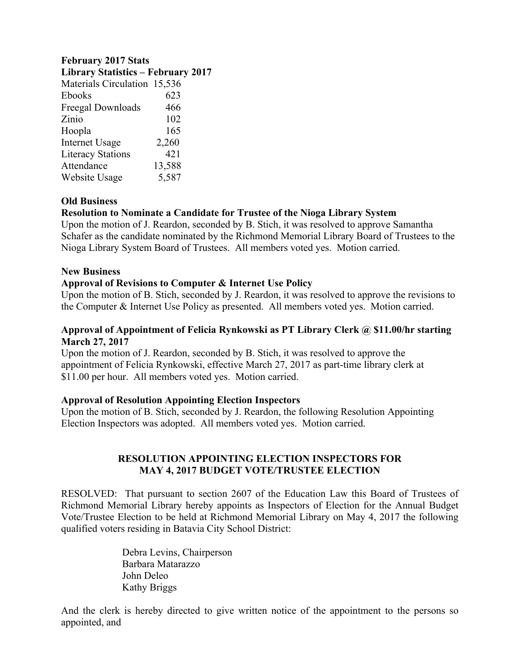#### **February 2017 Stats**

| 623    |                                                                           |
|--------|---------------------------------------------------------------------------|
| 466    |                                                                           |
| 102    |                                                                           |
| 165    |                                                                           |
| 2,260  |                                                                           |
| 421    |                                                                           |
| 13,588 |                                                                           |
| 5,587  |                                                                           |
|        | <b>Library Statistics - February 2017</b><br>Materials Circulation 15,536 |

#### **Old Business**

#### **Resolution to Nominate a Candidate for Trustee of the Nioga Library System**

Upon the motion of J. Reardon, seconded by B. Stich, it was resolved to approve Samantha Schafer as the candidate nominated by the Richmond Memorial Library Board of Trustees to the Nioga Library System Board of Trustees. All members voted yes. Motion carried.

#### **New Business**

#### **Approval of Revisions to Computer & Internet Use Policy**

Upon the motion of B. Stich, seconded by J. Reardon, it was resolved to approve the revisions to the Computer & Internet Use Policy as presented. All members voted yes. Motion carried.

#### **Approval of Appointment of Felicia Rynkowski as PT Library Clerk @ \$11.00/hr starting March 27, 2017**

Upon the motion of J. Reardon, seconded by B. Stich, it was resolved to approve the appointment of Felicia Rynkowski, effective March 27, 2017 as part-time library clerk at \$11.00 per hour. All members voted yes. Motion carried.

#### **Approval of Resolution Appointing Election Inspectors**

Upon the motion of B. Stich, seconded by J. Reardon, the following Resolution Appointing Election Inspectors was adopted. All members voted yes. Motion carried.

#### **RESOLUTION APPOINTING ELECTION INSPECTORS FOR MAY 4, 2017 BUDGET VOTE/TRUSTEE ELECTION**

RESOLVED: That pursuant to section 2607 of the Education Law this Board of Trustees of Richmond Memorial Library hereby appoints as Inspectors of Election for the Annual Budget Vote/Trustee Election to be held at Richmond Memorial Library on May 4, 2017 the following qualified voters residing in Batavia City School District:

> Debra Levins, Chairperson Barbara Matarazzo John Deleo Kathy Briggs

And the clerk is hereby directed to give written notice of the appointment to the persons so appointed, and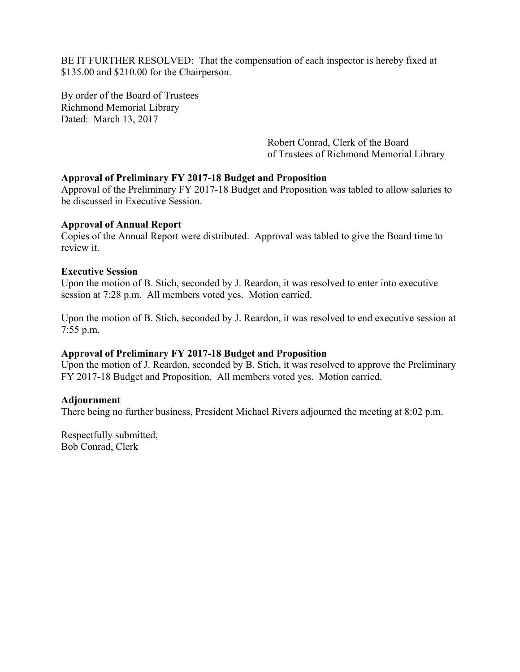BE IT FURTHER RESOLVED: That the compensation of each inspector is hereby fixed at \$135.00 and \$210.00 for the Chairperson.

By order of the Board of Trustees Richmond Memorial Library Dated: March 13, 2017

> Robert Conrad, Clerk of the Board of Trustees of Richmond Memorial Library

#### **Approval of Preliminary FY 2017-18 Budget and Proposition**

Approval of the Preliminary FY 2017-18 Budget and Proposition was tabled to allow salaries to be discussed in Executive Session.

#### **Approval of Annual Report**

Copies of the Annual Report were distributed. Approval was tabled to give the Board time to review it.

#### **Executive Session**

Upon the motion of B. Stich, seconded by J. Reardon, it was resolved to enter into executive session at 7:28 p.m. All members voted yes. Motion carried.

Upon the motion of B. Stich, seconded by J. Reardon, it was resolved to end executive session at 7:55 p.m.

#### **Approval of Preliminary FY 2017-18 Budget and Proposition**

Upon the motion of J. Reardon, seconded by B. Stich, it was resolved to approve the Preliminary FY 2017-18 Budget and Proposition. All members voted yes. Motion carried.

#### **Adjournment**

There being no further business, President Michael Rivers adjourned the meeting at 8:02 p.m.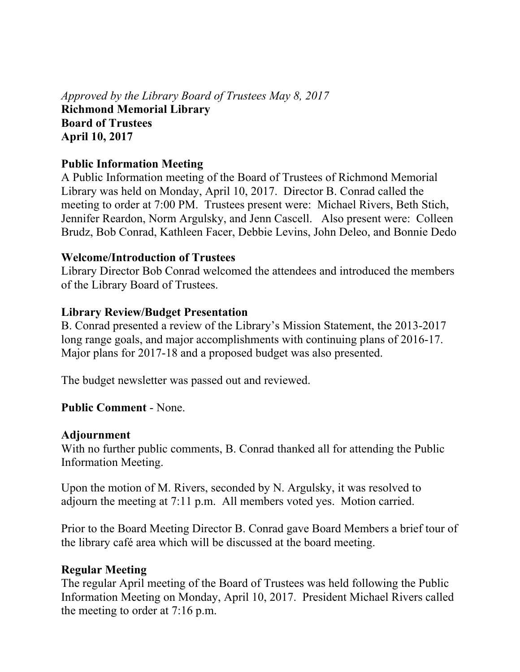*Approved by the Library Board of Trustees May 8, 2017*  **Richmond Memorial Library Board of Trustees April 10, 2017** 

## **Public Information Meeting**

A Public Information meeting of the Board of Trustees of Richmond Memorial Library was held on Monday, April 10, 2017. Director B. Conrad called the meeting to order at 7:00 PM. Trustees present were: Michael Rivers, Beth Stich, Jennifer Reardon, Norm Argulsky, and Jenn Cascell. Also present were: Colleen Brudz, Bob Conrad, Kathleen Facer, Debbie Levins, John Deleo, and Bonnie Dedo

## **Welcome/Introduction of Trustees**

Library Director Bob Conrad welcomed the attendees and introduced the members of the Library Board of Trustees.

## **Library Review/Budget Presentation**

B. Conrad presented a review of the Library's Mission Statement, the 2013-2017 long range goals, and major accomplishments with continuing plans of 2016-17. Major plans for 2017-18 and a proposed budget was also presented.

The budget newsletter was passed out and reviewed.

# **Public Comment** - None.

## **Adjournment**

With no further public comments, B. Conrad thanked all for attending the Public Information Meeting.

Upon the motion of M. Rivers, seconded by N. Argulsky, it was resolved to adjourn the meeting at 7:11 p.m. All members voted yes. Motion carried.

Prior to the Board Meeting Director B. Conrad gave Board Members a brief tour of the library café area which will be discussed at the board meeting.

# **Regular Meeting**

The regular April meeting of the Board of Trustees was held following the Public Information Meeting on Monday, April 10, 2017. President Michael Rivers called the meeting to order at 7:16 p.m.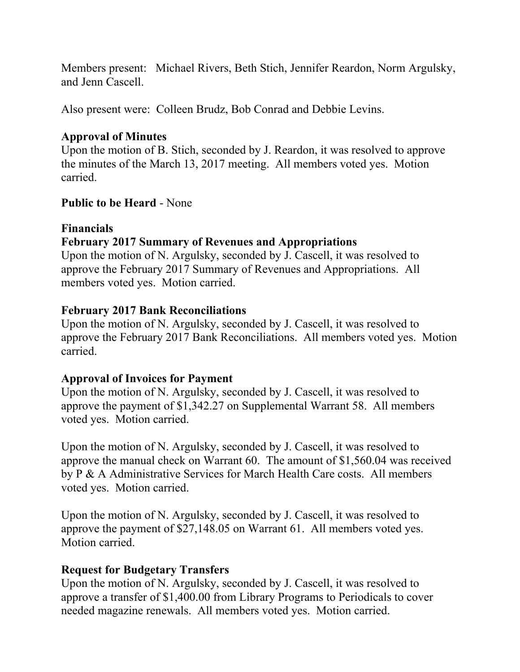Members present: Michael Rivers, Beth Stich, Jennifer Reardon, Norm Argulsky, and Jenn Cascell.

Also present were: Colleen Brudz, Bob Conrad and Debbie Levins.

# **Approval of Minutes**

Upon the motion of B. Stich, seconded by J. Reardon, it was resolved to approve the minutes of the March 13, 2017 meeting. All members voted yes. Motion carried.

# **Public to be Heard** - None

# **Financials**

# **February 2017 Summary of Revenues and Appropriations**

Upon the motion of N. Argulsky, seconded by J. Cascell, it was resolved to approve the February 2017 Summary of Revenues and Appropriations. All members voted yes. Motion carried.

## **February 2017 Bank Reconciliations**

Upon the motion of N. Argulsky, seconded by J. Cascell, it was resolved to approve the February 2017 Bank Reconciliations. All members voted yes. Motion carried.

# **Approval of Invoices for Payment**

Upon the motion of N. Argulsky, seconded by J. Cascell, it was resolved to approve the payment of \$1,342.27 on Supplemental Warrant 58. All members voted yes. Motion carried.

Upon the motion of N. Argulsky, seconded by J. Cascell, it was resolved to approve the manual check on Warrant 60. The amount of \$1,560.04 was received by P & A Administrative Services for March Health Care costs. All members voted yes. Motion carried.

Upon the motion of N. Argulsky, seconded by J. Cascell, it was resolved to approve the payment of \$27,148.05 on Warrant 61. All members voted yes. Motion carried.

# **Request for Budgetary Transfers**

Upon the motion of N. Argulsky, seconded by J. Cascell, it was resolved to approve a transfer of \$1,400.00 from Library Programs to Periodicals to cover needed magazine renewals. All members voted yes. Motion carried.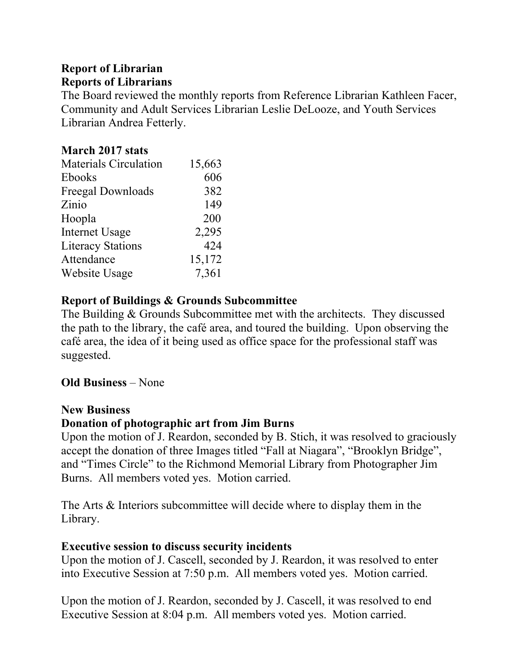# **Report of Librarian**

## **Reports of Librarians**

The Board reviewed the monthly reports from Reference Librarian Kathleen Facer, Community and Adult Services Librarian Leslie DeLooze, and Youth Services Librarian Andrea Fetterly.

# **March 2017 stats**

| 15,663 |
|--------|
| 606    |
| 382    |
| 149    |
| 200    |
| 2,295  |
| 424    |
| 15,172 |
| 7,361  |
|        |

# **Report of Buildings & Grounds Subcommittee**

The Building & Grounds Subcommittee met with the architects. They discussed the path to the library, the café area, and toured the building. Upon observing the café area, the idea of it being used as office space for the professional staff was suggested.

# **Old Business** – None

# **New Business**

# **Donation of photographic art from Jim Burns**

Upon the motion of J. Reardon, seconded by B. Stich, it was resolved to graciously accept the donation of three Images titled "Fall at Niagara", "Brooklyn Bridge", and "Times Circle" to the Richmond Memorial Library from Photographer Jim Burns. All members voted yes. Motion carried.

The Arts & Interiors subcommittee will decide where to display them in the Library.

# **Executive session to discuss security incidents**

Upon the motion of J. Cascell, seconded by J. Reardon, it was resolved to enter into Executive Session at 7:50 p.m. All members voted yes. Motion carried.

Upon the motion of J. Reardon, seconded by J. Cascell, it was resolved to end Executive Session at 8:04 p.m. All members voted yes. Motion carried.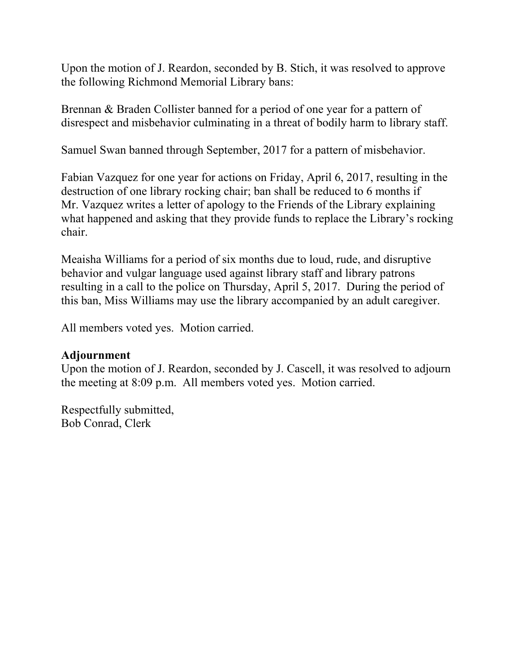Upon the motion of J. Reardon, seconded by B. Stich, it was resolved to approve the following Richmond Memorial Library bans:

Brennan & Braden Collister banned for a period of one year for a pattern of disrespect and misbehavior culminating in a threat of bodily harm to library staff.

Samuel Swan banned through September, 2017 for a pattern of misbehavior.

Fabian Vazquez for one year for actions on Friday, April 6, 2017, resulting in the destruction of one library rocking chair; ban shall be reduced to 6 months if Mr. Vazquez writes a letter of apology to the Friends of the Library explaining what happened and asking that they provide funds to replace the Library's rocking chair.

Meaisha Williams for a period of six months due to loud, rude, and disruptive behavior and vulgar language used against library staff and library patrons resulting in a call to the police on Thursday, April 5, 2017. During the period of this ban, Miss Williams may use the library accompanied by an adult caregiver.

All members voted yes. Motion carried.

## **Adjournment**

Upon the motion of J. Reardon, seconded by J. Cascell, it was resolved to adjourn the meeting at 8:09 p.m. All members voted yes. Motion carried.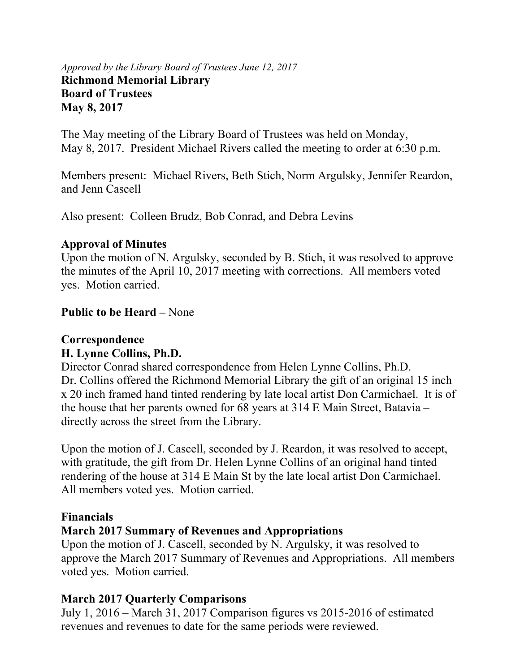## *Approved by the Library Board of Trustees June 12, 2017*  **Richmond Memorial Library Board of Trustees May 8, 2017**

The May meeting of the Library Board of Trustees was held on Monday, May 8, 2017. President Michael Rivers called the meeting to order at 6:30 p.m.

Members present: Michael Rivers, Beth Stich, Norm Argulsky, Jennifer Reardon, and Jenn Cascell

Also present: Colleen Brudz, Bob Conrad, and Debra Levins

## **Approval of Minutes**

Upon the motion of N. Argulsky, seconded by B. Stich, it was resolved to approve the minutes of the April 10, 2017 meeting with corrections. All members voted yes. Motion carried.

# **Public to be Heard –** None

## **Correspondence H. Lynne Collins, Ph.D.**

Director Conrad shared correspondence from Helen Lynne Collins, Ph.D. Dr. Collins offered the Richmond Memorial Library the gift of an original 15 inch x 20 inch framed hand tinted rendering by late local artist Don Carmichael. It is of the house that her parents owned for 68 years at 314 E Main Street, Batavia – directly across the street from the Library.

Upon the motion of J. Cascell, seconded by J. Reardon, it was resolved to accept, with gratitude, the gift from Dr. Helen Lynne Collins of an original hand tinted rendering of the house at 314 E Main St by the late local artist Don Carmichael. All members voted yes. Motion carried.

# **Financials**

# **March 2017 Summary of Revenues and Appropriations**

Upon the motion of J. Cascell, seconded by N. Argulsky, it was resolved to approve the March 2017 Summary of Revenues and Appropriations. All members voted yes. Motion carried.

# **March 2017 Quarterly Comparisons**

July 1, 2016 – March 31, 2017 Comparison figures vs 2015-2016 of estimated revenues and revenues to date for the same periods were reviewed.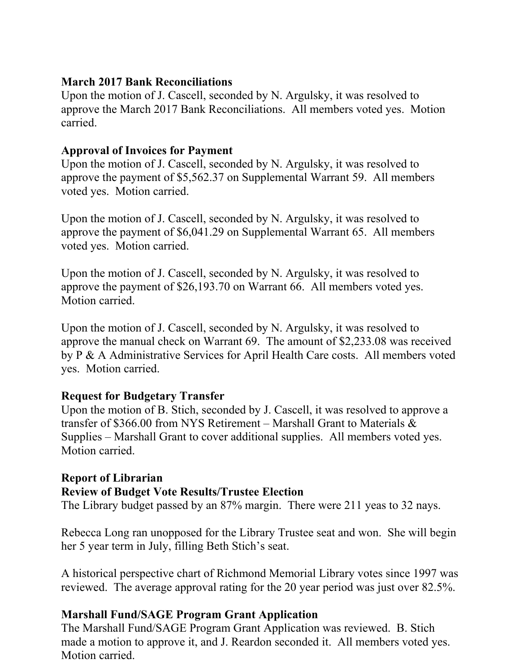## **March 2017 Bank Reconciliations**

Upon the motion of J. Cascell, seconded by N. Argulsky, it was resolved to approve the March 2017 Bank Reconciliations. All members voted yes. Motion carried.

## **Approval of Invoices for Payment**

Upon the motion of J. Cascell, seconded by N. Argulsky, it was resolved to approve the payment of \$5,562.37 on Supplemental Warrant 59. All members voted yes. Motion carried.

Upon the motion of J. Cascell, seconded by N. Argulsky, it was resolved to approve the payment of \$6,041.29 on Supplemental Warrant 65. All members voted yes. Motion carried.

Upon the motion of J. Cascell, seconded by N. Argulsky, it was resolved to approve the payment of \$26,193.70 on Warrant 66. All members voted yes. Motion carried.

Upon the motion of J. Cascell, seconded by N. Argulsky, it was resolved to approve the manual check on Warrant 69. The amount of \$2,233.08 was received by P & A Administrative Services for April Health Care costs. All members voted yes. Motion carried.

# **Request for Budgetary Transfer**

Upon the motion of B. Stich, seconded by J. Cascell, it was resolved to approve a transfer of \$366.00 from NYS Retirement – Marshall Grant to Materials & Supplies – Marshall Grant to cover additional supplies. All members voted yes. Motion carried.

# **Report of Librarian**

# **Review of Budget Vote Results/Trustee Election**

The Library budget passed by an 87% margin. There were 211 yeas to 32 nays.

Rebecca Long ran unopposed for the Library Trustee seat and won. She will begin her 5 year term in July, filling Beth Stich's seat.

A historical perspective chart of Richmond Memorial Library votes since 1997 was reviewed. The average approval rating for the 20 year period was just over 82.5%.

# **Marshall Fund/SAGE Program Grant Application**

The Marshall Fund/SAGE Program Grant Application was reviewed. B. Stich made a motion to approve it, and J. Reardon seconded it. All members voted yes. Motion carried.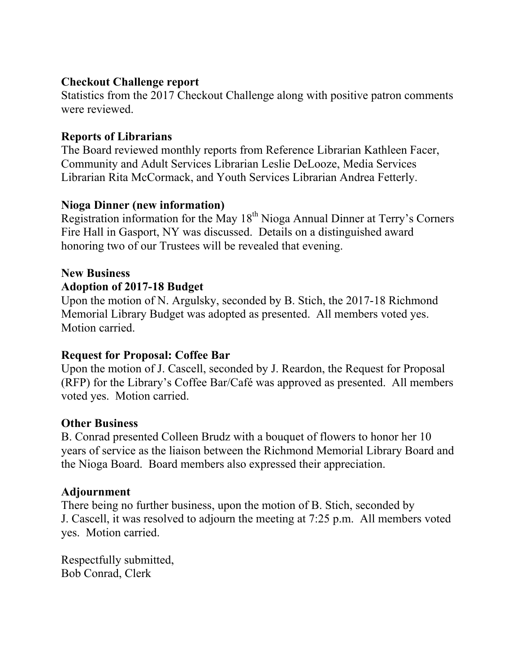## **Checkout Challenge report**

Statistics from the 2017 Checkout Challenge along with positive patron comments were reviewed.

# **Reports of Librarians**

The Board reviewed monthly reports from Reference Librarian Kathleen Facer, Community and Adult Services Librarian Leslie DeLooze, Media Services Librarian Rita McCormack, and Youth Services Librarian Andrea Fetterly.

# **Nioga Dinner (new information)**

Registration information for the May  $18<sup>th</sup>$  Nioga Annual Dinner at Terry's Corners Fire Hall in Gasport, NY was discussed. Details on a distinguished award honoring two of our Trustees will be revealed that evening.

# **New Business**

# **Adoption of 2017-18 Budget**

Upon the motion of N. Argulsky, seconded by B. Stich, the 2017-18 Richmond Memorial Library Budget was adopted as presented. All members voted yes. Motion carried.

# **Request for Proposal: Coffee Bar**

Upon the motion of J. Cascell, seconded by J. Reardon, the Request for Proposal (RFP) for the Library's Coffee Bar/Café was approved as presented. All members voted yes. Motion carried.

# **Other Business**

B. Conrad presented Colleen Brudz with a bouquet of flowers to honor her 10 years of service as the liaison between the Richmond Memorial Library Board and the Nioga Board. Board members also expressed their appreciation.

# **Adjournment**

There being no further business, upon the motion of B. Stich, seconded by J. Cascell, it was resolved to adjourn the meeting at 7:25 p.m. All members voted yes. Motion carried.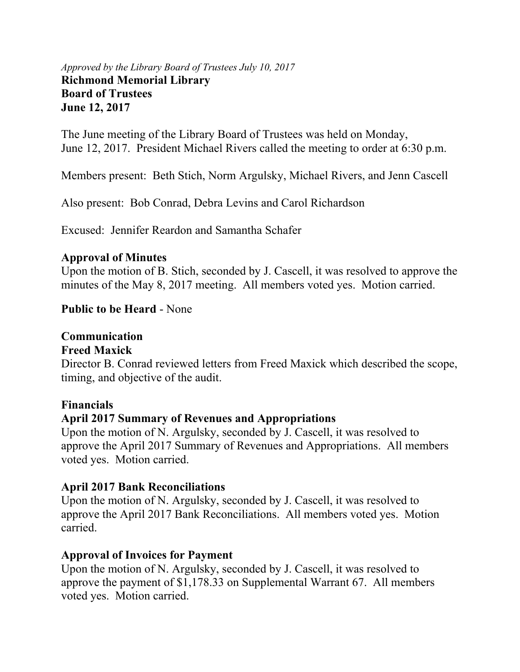#### *Approved by the Library Board of Trustees July 10, 2017*  **Richmond Memorial Library Board of Trustees June 12, 2017**

The June meeting of the Library Board of Trustees was held on Monday, June 12, 2017. President Michael Rivers called the meeting to order at 6:30 p.m.

Members present: Beth Stich, Norm Argulsky, Michael Rivers, and Jenn Cascell

Also present: Bob Conrad, Debra Levins and Carol Richardson

Excused: Jennifer Reardon and Samantha Schafer

# **Approval of Minutes**

Upon the motion of B. Stich, seconded by J. Cascell, it was resolved to approve the minutes of the May 8, 2017 meeting. All members voted yes. Motion carried.

# **Public to be Heard** - None

# **Communication**

## **Freed Maxick**

Director B. Conrad reviewed letters from Freed Maxick which described the scope, timing, and objective of the audit.

## **Financials**

# **April 2017 Summary of Revenues and Appropriations**

Upon the motion of N. Argulsky, seconded by J. Cascell, it was resolved to approve the April 2017 Summary of Revenues and Appropriations. All members voted yes. Motion carried.

# **April 2017 Bank Reconciliations**

Upon the motion of N. Argulsky, seconded by J. Cascell, it was resolved to approve the April 2017 Bank Reconciliations. All members voted yes. Motion carried.

# **Approval of Invoices for Payment**

Upon the motion of N. Argulsky, seconded by J. Cascell, it was resolved to approve the payment of \$1,178.33 on Supplemental Warrant 67. All members voted yes. Motion carried.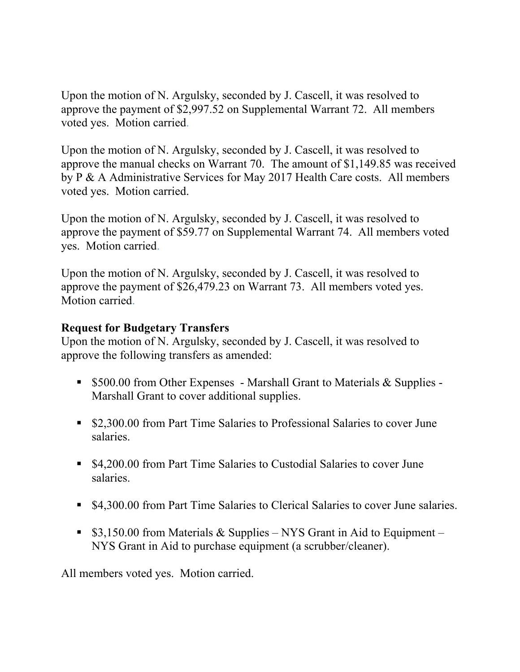Upon the motion of N. Argulsky, seconded by J. Cascell, it was resolved to approve the payment of \$2,997.52 on Supplemental Warrant 72. All members voted yes. Motion carried.

Upon the motion of N. Argulsky, seconded by J. Cascell, it was resolved to approve the manual checks on Warrant 70. The amount of \$1,149.85 was received by P & A Administrative Services for May 2017 Health Care costs. All members voted yes. Motion carried.

Upon the motion of N. Argulsky, seconded by J. Cascell, it was resolved to approve the payment of \$59.77 on Supplemental Warrant 74. All members voted yes. Motion carried.

Upon the motion of N. Argulsky, seconded by J. Cascell, it was resolved to approve the payment of \$26,479.23 on Warrant 73. All members voted yes. Motion carried.

## **Request for Budgetary Transfers**

Upon the motion of N. Argulsky, seconded by J. Cascell, it was resolved to approve the following transfers as amended:

- **5500.00 from Other Expenses Marshall Grant to Materials & Supplies -**Marshall Grant to cover additional supplies.
- \$2,300.00 from Part Time Salaries to Professional Salaries to cover June salaries.
- \$4,200.00 from Part Time Salaries to Custodial Salaries to cover June salaries.
- \$4,300.00 from Part Time Salaries to Clerical Salaries to cover June salaries.
- $\bullet$  \$3,150.00 from Materials & Supplies NYS Grant in Aid to Equipment NYS Grant in Aid to purchase equipment (a scrubber/cleaner).

All members voted yes. Motion carried.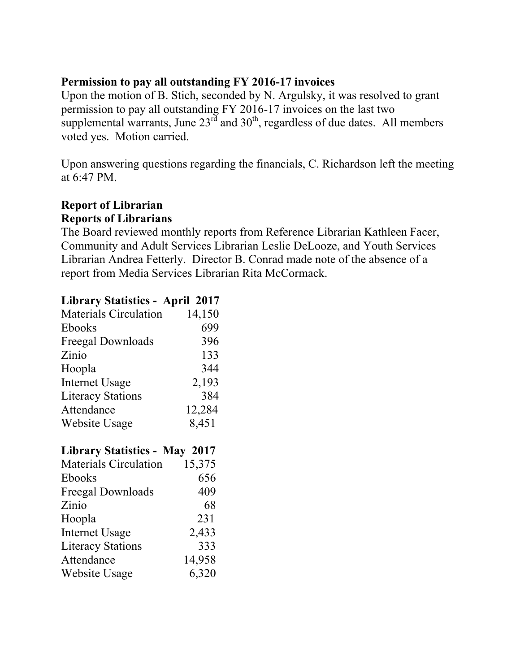## **Permission to pay all outstanding FY 2016-17 invoices**

Upon the motion of B. Stich, seconded by N. Argulsky, it was resolved to grant permission to pay all outstanding FY 2016-17 invoices on the last two supplemental warrants, June  $23<sup>rd</sup>$  and  $30<sup>th</sup>$ , regardless of due dates. All members voted yes. Motion carried.

Upon answering questions regarding the financials, C. Richardson left the meeting at 6:47 PM.

## **Report of Librarian Reports of Librarians**

The Board reviewed monthly reports from Reference Librarian Kathleen Facer, Community and Adult Services Librarian Leslie DeLooze, and Youth Services Librarian Andrea Fetterly. Director B. Conrad made note of the absence of a report from Media Services Librarian Rita McCormack.

# **Library Statistics - April 2017**

| <b>Materials Circulation</b> | 14,150 |
|------------------------------|--------|
| Ebooks                       | 699    |
| Freegal Downloads            | 396    |
| Zinio                        | 133    |
| Hoopla                       | 344    |
| <b>Internet Usage</b>        | 2,193  |
| <b>Literacy Stations</b>     | 384    |
| Attendance                   | 12,284 |
| Website Usage                | 8,451  |
|                              |        |

# **Library Statistics - May 2017**

| <b>Materials Circulation</b> | 15,375 |
|------------------------------|--------|
| Ebooks                       | 656    |
| Freegal Downloads            | 409    |
| Zinio                        | 68     |
| Hoopla                       | 231    |
| <b>Internet Usage</b>        | 2,433  |
| <b>Literacy Stations</b>     | 333    |
| Attendance                   | 14,958 |
| Website Usage                | 6,320  |
|                              |        |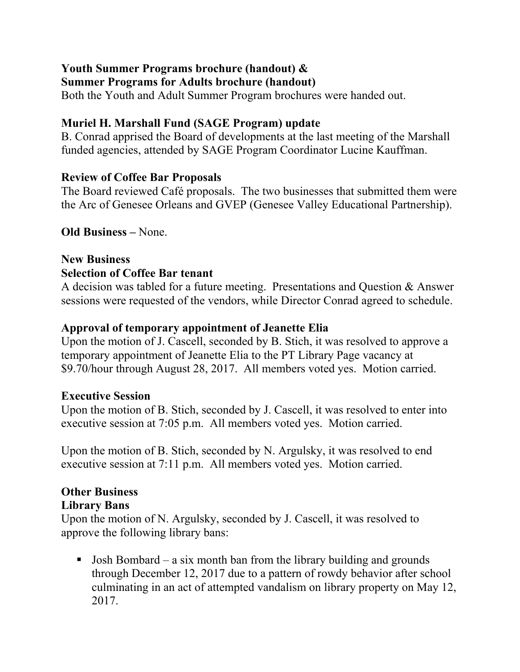# **Youth Summer Programs brochure (handout) &**

# **Summer Programs for Adults brochure (handout)**

Both the Youth and Adult Summer Program brochures were handed out.

# **Muriel H. Marshall Fund (SAGE Program) update**

B. Conrad apprised the Board of developments at the last meeting of the Marshall funded agencies, attended by SAGE Program Coordinator Lucine Kauffman.

# **Review of Coffee Bar Proposals**

The Board reviewed Café proposals. The two businesses that submitted them were the Arc of Genesee Orleans and GVEP (Genesee Valley Educational Partnership).

# **Old Business –** None.

## **New Business Selection of Coffee Bar tenant**

A decision was tabled for a future meeting. Presentations and Question & Answer sessions were requested of the vendors, while Director Conrad agreed to schedule.

# **Approval of temporary appointment of Jeanette Elia**

Upon the motion of J. Cascell, seconded by B. Stich, it was resolved to approve a temporary appointment of Jeanette Elia to the PT Library Page vacancy at \$9.70/hour through August 28, 2017. All members voted yes. Motion carried.

# **Executive Session**

Upon the motion of B. Stich, seconded by J. Cascell, it was resolved to enter into executive session at 7:05 p.m. All members voted yes. Motion carried.

Upon the motion of B. Stich, seconded by N. Argulsky, it was resolved to end executive session at 7:11 p.m. All members voted yes. Motion carried.

#### **Other Business Library Bans**

Upon the motion of N. Argulsky, seconded by J. Cascell, it was resolved to approve the following library bans:

**Josh Bombard** – a six month ban from the library building and grounds through December 12, 2017 due to a pattern of rowdy behavior after school culminating in an act of attempted vandalism on library property on May 12, 2017.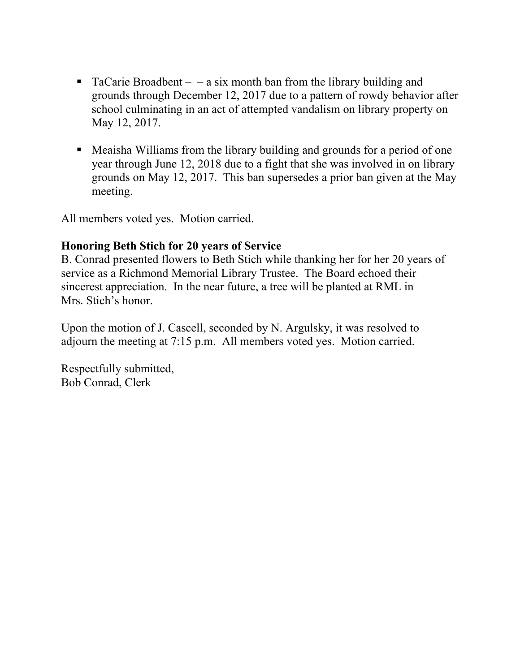- TaCarie Broadbent  $-$  a six month ban from the library building and grounds through December 12, 2017 due to a pattern of rowdy behavior after school culminating in an act of attempted vandalism on library property on May 12, 2017.
- Meaisha Williams from the library building and grounds for a period of one year through June 12, 2018 due to a fight that she was involved in on library grounds on May 12, 2017. This ban supersedes a prior ban given at the May meeting.

All members voted yes. Motion carried.

## **Honoring Beth Stich for 20 years of Service**

B. Conrad presented flowers to Beth Stich while thanking her for her 20 years of service as a Richmond Memorial Library Trustee. The Board echoed their sincerest appreciation. In the near future, a tree will be planted at RML in Mrs. Stich's honor.

Upon the motion of J. Cascell, seconded by N. Argulsky, it was resolved to adjourn the meeting at 7:15 p.m. All members voted yes. Motion carried.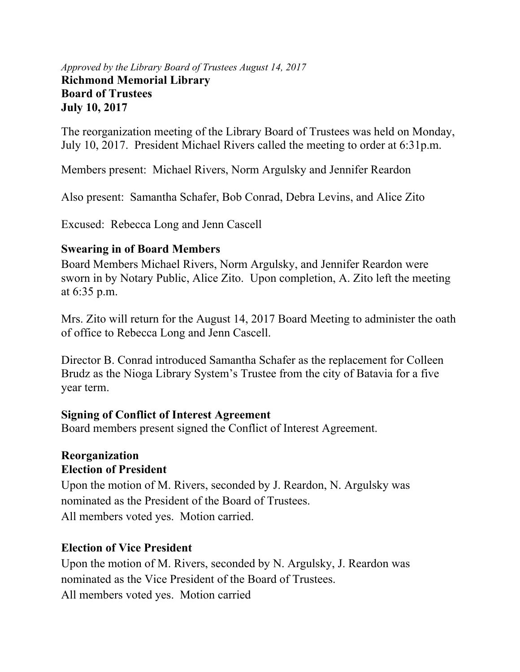## *Approved by the Library Board of Trustees August 14, 2017*  **Richmond Memorial Library Board of Trustees July 10, 2017**

The reorganization meeting of the Library Board of Trustees was held on Monday, July 10, 2017. President Michael Rivers called the meeting to order at 6:31p.m.

Members present: Michael Rivers, Norm Argulsky and Jennifer Reardon

Also present: Samantha Schafer, Bob Conrad, Debra Levins, and Alice Zito

Excused: Rebecca Long and Jenn Cascell

# **Swearing in of Board Members**

Board Members Michael Rivers, Norm Argulsky, and Jennifer Reardon were sworn in by Notary Public, Alice Zito. Upon completion, A. Zito left the meeting at 6:35 p.m.

Mrs. Zito will return for the August 14, 2017 Board Meeting to administer the oath of office to Rebecca Long and Jenn Cascell.

Director B. Conrad introduced Samantha Schafer as the replacement for Colleen Brudz as the Nioga Library System's Trustee from the city of Batavia for a five year term.

# **Signing of Conflict of Interest Agreement**

Board members present signed the Conflict of Interest Agreement.

## **Reorganization Election of President**

Upon the motion of M. Rivers, seconded by J. Reardon, N. Argulsky was nominated as the President of the Board of Trustees. All members voted yes. Motion carried.

# **Election of Vice President**

Upon the motion of M. Rivers, seconded by N. Argulsky, J. Reardon was nominated as the Vice President of the Board of Trustees. All members voted yes. Motion carried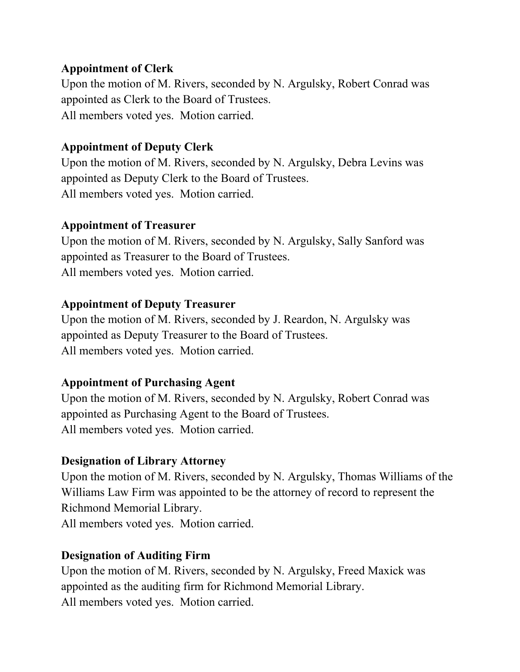## **Appointment of Clerk**

Upon the motion of M. Rivers, seconded by N. Argulsky, Robert Conrad was appointed as Clerk to the Board of Trustees. All members voted yes. Motion carried.

# **Appointment of Deputy Clerk**

Upon the motion of M. Rivers, seconded by N. Argulsky, Debra Levins was appointed as Deputy Clerk to the Board of Trustees. All members voted yes. Motion carried.

## **Appointment of Treasurer**

Upon the motion of M. Rivers, seconded by N. Argulsky, Sally Sanford was appointed as Treasurer to the Board of Trustees. All members voted yes. Motion carried.

# **Appointment of Deputy Treasurer**

Upon the motion of M. Rivers, seconded by J. Reardon, N. Argulsky was appointed as Deputy Treasurer to the Board of Trustees. All members voted yes. Motion carried.

# **Appointment of Purchasing Agent**

Upon the motion of M. Rivers, seconded by N. Argulsky, Robert Conrad was appointed as Purchasing Agent to the Board of Trustees. All members voted yes. Motion carried.

# **Designation of Library Attorney**

Upon the motion of M. Rivers, seconded by N. Argulsky, Thomas Williams of the Williams Law Firm was appointed to be the attorney of record to represent the Richmond Memorial Library. All members voted yes. Motion carried.

# **Designation of Auditing Firm**

Upon the motion of M. Rivers, seconded by N. Argulsky, Freed Maxick was appointed as the auditing firm for Richmond Memorial Library. All members voted yes. Motion carried.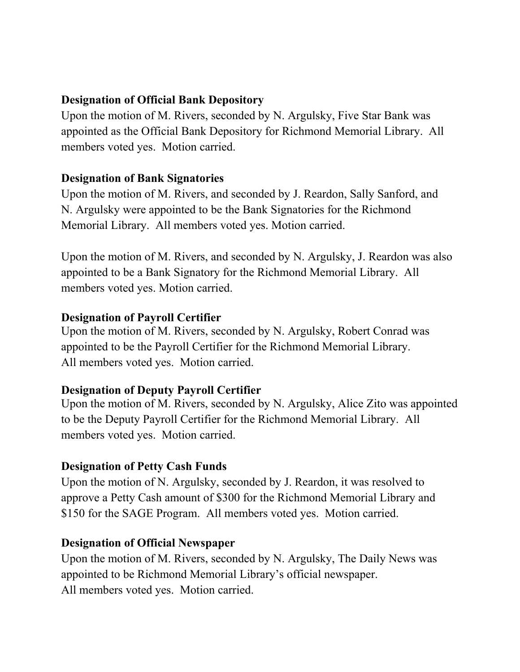# **Designation of Official Bank Depository**

Upon the motion of M. Rivers, seconded by N. Argulsky, Five Star Bank was appointed as the Official Bank Depository for Richmond Memorial Library.All members voted yes. Motion carried.

# **Designation of Bank Signatories**

Upon the motion of M. Rivers, and seconded by J. Reardon, Sally Sanford, and N. Argulsky were appointed to be the Bank Signatories for the Richmond Memorial Library. All members voted yes. Motion carried.

Upon the motion of M. Rivers, and seconded by N. Argulsky, J. Reardon was also appointed to be a Bank Signatory for the Richmond Memorial Library. All members voted yes. Motion carried.

# **Designation of Payroll Certifier**

Upon the motion of M. Rivers, seconded by N. Argulsky, Robert Conrad was appointed to be the Payroll Certifier for the Richmond Memorial Library. All members voted yes. Motion carried.

# **Designation of Deputy Payroll Certifier**

Upon the motion of M. Rivers, seconded by N. Argulsky, Alice Zito was appointed to be the Deputy Payroll Certifier for the Richmond Memorial Library. All members voted yes. Motion carried.

# **Designation of Petty Cash Funds**

Upon the motion of N. Argulsky, seconded by J. Reardon, it was resolved to approve a Petty Cash amount of \$300 for the Richmond Memorial Library and \$150 for the SAGE Program. All members voted yes. Motion carried.

# **Designation of Official Newspaper**

Upon the motion of M. Rivers, seconded by N. Argulsky, The Daily News was appointed to be Richmond Memorial Library's official newspaper. All members voted yes. Motion carried.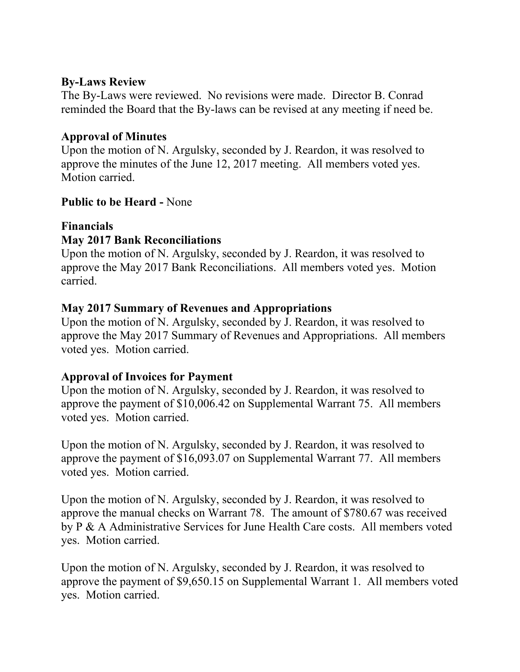## **By-Laws Review**

The By-Laws were reviewed. No revisions were made. Director B. Conrad reminded the Board that the By-laws can be revised at any meeting if need be.

# **Approval of Minutes**

Upon the motion of N. Argulsky, seconded by J. Reardon, it was resolved to approve the minutes of the June 12, 2017 meeting. All members voted yes. Motion carried.

## **Public to be Heard -** None

# **Financials**

# **May 2017 Bank Reconciliations**

Upon the motion of N. Argulsky, seconded by J. Reardon, it was resolved to approve the May 2017 Bank Reconciliations. All members voted yes. Motion carried.

## **May 2017 Summary of Revenues and Appropriations**

Upon the motion of N. Argulsky, seconded by J. Reardon, it was resolved to approve the May 2017 Summary of Revenues and Appropriations. All members voted yes. Motion carried.

# **Approval of Invoices for Payment**

Upon the motion of N. Argulsky, seconded by J. Reardon, it was resolved to approve the payment of \$10,006.42 on Supplemental Warrant 75. All members voted yes. Motion carried.

Upon the motion of N. Argulsky, seconded by J. Reardon, it was resolved to approve the payment of \$16,093.07 on Supplemental Warrant 77. All members voted yes. Motion carried.

Upon the motion of N. Argulsky, seconded by J. Reardon, it was resolved to approve the manual checks on Warrant 78. The amount of \$780.67 was received by P & A Administrative Services for June Health Care costs. All members voted yes. Motion carried.

Upon the motion of N. Argulsky, seconded by J. Reardon, it was resolved to approve the payment of \$9,650.15 on Supplemental Warrant 1. All members voted yes. Motion carried.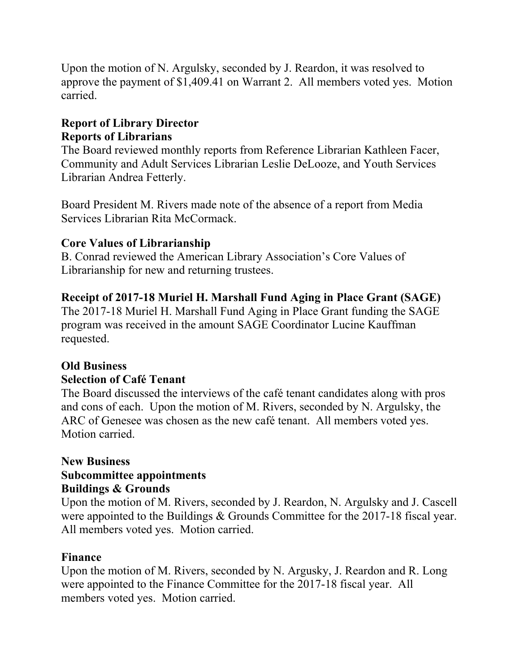Upon the motion of N. Argulsky, seconded by J. Reardon, it was resolved to approve the payment of \$1,409.41 on Warrant 2. All members voted yes. Motion carried.

# **Report of Library Director Reports of Librarians**

The Board reviewed monthly reports from Reference Librarian Kathleen Facer, Community and Adult Services Librarian Leslie DeLooze, and Youth Services Librarian Andrea Fetterly.

Board President M. Rivers made note of the absence of a report from Media Services Librarian Rita McCormack.

# **Core Values of Librarianship**

B. Conrad reviewed the American Library Association's Core Values of Librarianship for new and returning trustees.

# **Receipt of 2017-18 Muriel H. Marshall Fund Aging in Place Grant (SAGE)**

The 2017-18 Muriel H. Marshall Fund Aging in Place Grant funding the SAGE program was received in the amount SAGE Coordinator Lucine Kauffman requested.

# **Old Business**

# **Selection of Café Tenant**

The Board discussed the interviews of the café tenant candidates along with pros and cons of each. Upon the motion of M. Rivers, seconded by N. Argulsky, the ARC of Genesee was chosen as the new café tenant. All members voted yes. Motion carried.

## **New Business Subcommittee appointments Buildings & Grounds**

Upon the motion of M. Rivers, seconded by J. Reardon, N. Argulsky and J. Cascell were appointed to the Buildings & Grounds Committee for the 2017-18 fiscal year. All members voted yes. Motion carried.

# **Finance**

Upon the motion of M. Rivers, seconded by N. Argusky, J. Reardon and R. Long were appointed to the Finance Committee for the 2017-18 fiscal year. All members voted yes. Motion carried.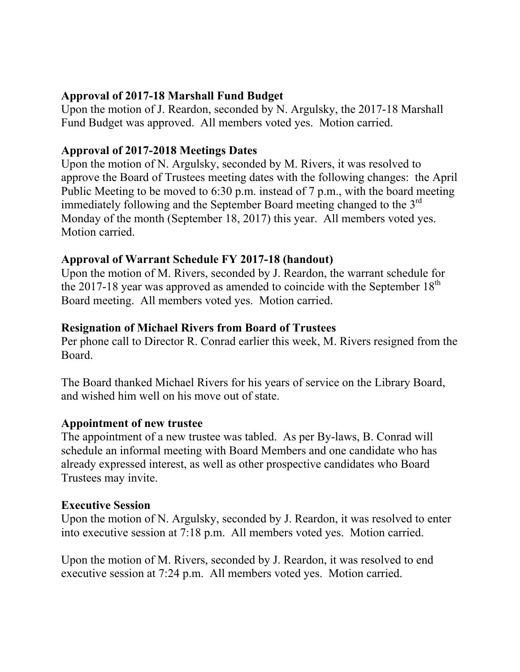## **Approval of 2017-18 Marshall Fund Budget**

Upon the motion of J. Reardon, seconded by N. Argulsky, the 2017-18 Marshall Fund Budget was approved. All members voted yes. Motion carried.

## **Approval of 2017-2018 Meetings Dates**

Upon the motion of N. Argulsky, seconded by M. Rivers, it was resolved to approve the Board of Trustees meeting dates with the following changes: the April Public Meeting to be moved to 6:30 p.m. instead of 7 p.m., with the board meeting immediately following and the September Board meeting changed to the  $3<sup>rd</sup>$ Monday of the month (September 18, 2017) this year. All members voted yes. Motion carried.

## **Approval of Warrant Schedule FY 2017-18 (handout)**

Upon the motion of M. Rivers, seconded by J. Reardon, the warrant schedule for the 2017-18 year was approved as amended to coincide with the September  $18<sup>th</sup>$ Board meeting. All members voted yes. Motion carried.

# **Resignation of Michael Rivers from Board of Trustees**

Per phone call to Director R. Conrad earlier this week, M. Rivers resigned from the Board.

The Board thanked Michael Rivers for his years of service on the Library Board, and wished him well on his move out of state.

## **Appointment of new trustee**

The appointment of a new trustee was tabled. As per By-laws, B. Conrad will schedule an informal meeting with Board Members and one candidate who has already expressed interest, as well as other prospective candidates who Board Trustees may invite.

## **Executive Session**

Upon the motion of N. Argulsky, seconded by J. Reardon, it was resolved to enter into executive session at 7:18 p.m. All members voted yes. Motion carried.

Upon the motion of M. Rivers, seconded by J. Reardon, it was resolved to end executive session at 7:24 p.m. All members voted yes. Motion carried.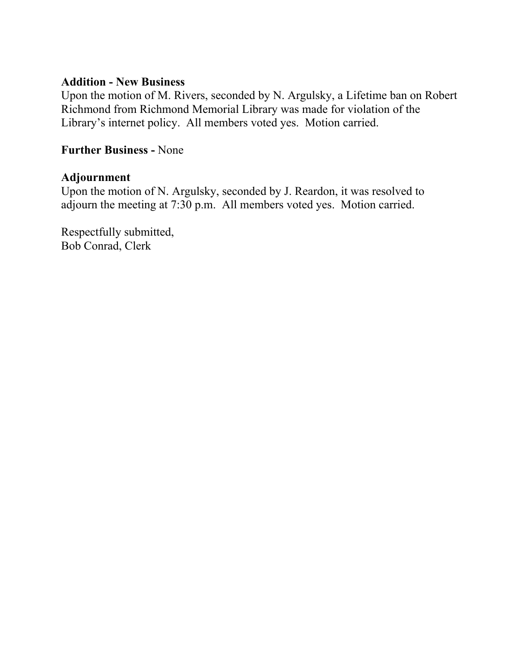## **Addition - New Business**

Upon the motion of M. Rivers, seconded by N. Argulsky, a Lifetime ban on Robert Richmond from Richmond Memorial Library was made for violation of the Library's internet policy. All members voted yes. Motion carried.

## **Further Business -** None

## **Adjournment**

Upon the motion of N. Argulsky, seconded by J. Reardon, it was resolved to adjourn the meeting at 7:30 p.m. All members voted yes. Motion carried.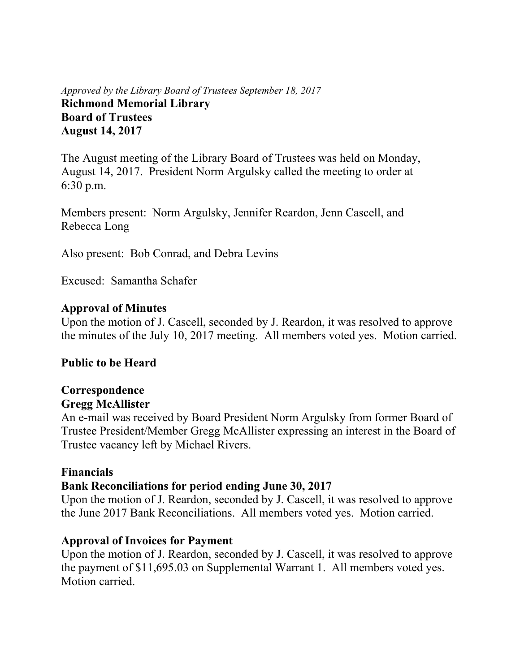## *Approved by the Library Board of Trustees September 18, 2017* **Richmond Memorial Library Board of Trustees August 14, 2017**

The August meeting of the Library Board of Trustees was held on Monday, August 14, 2017. President Norm Argulsky called the meeting to order at 6:30 p.m.

Members present: Norm Argulsky, Jennifer Reardon, Jenn Cascell, and Rebecca Long

Also present: Bob Conrad, and Debra Levins

Excused: Samantha Schafer

## **Approval of Minutes**

Upon the motion of J. Cascell, seconded by J. Reardon, it was resolved to approve the minutes of the July 10, 2017 meeting. All members voted yes. Motion carried.

## **Public to be Heard**

#### **Correspondence Gregg McAllister**

# An e-mail was received by Board President Norm Argulsky from former Board of Trustee President/Member Gregg McAllister expressing an interest in the Board of Trustee vacancy left by Michael Rivers.

## **Financials**

## **Bank Reconciliations for period ending June 30, 2017**

Upon the motion of J. Reardon, seconded by J. Cascell, it was resolved to approve the June 2017 Bank Reconciliations. All members voted yes. Motion carried.

## **Approval of Invoices for Payment**

Upon the motion of J. Reardon, seconded by J. Cascell, it was resolved to approve the payment of \$11,695.03 on Supplemental Warrant 1. All members voted yes. Motion carried.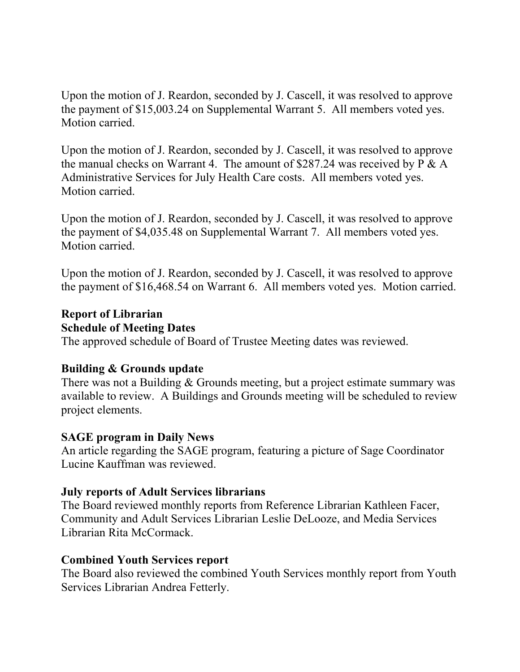Upon the motion of J. Reardon, seconded by J. Cascell, it was resolved to approve the payment of \$15,003.24 on Supplemental Warrant 5. All members voted yes. Motion carried.

Upon the motion of J. Reardon, seconded by J. Cascell, it was resolved to approve the manual checks on Warrant 4. The amount of \$287.24 was received by P & A Administrative Services for July Health Care costs. All members voted yes. Motion carried.

Upon the motion of J. Reardon, seconded by J. Cascell, it was resolved to approve the payment of \$4,035.48 on Supplemental Warrant 7. All members voted yes. Motion carried.

Upon the motion of J. Reardon, seconded by J. Cascell, it was resolved to approve the payment of \$16,468.54 on Warrant 6. All members voted yes. Motion carried.

## **Report of Librarian Schedule of Meeting Dates**

The approved schedule of Board of Trustee Meeting dates was reviewed.

## **Building & Grounds update**

There was not a Building & Grounds meeting, but a project estimate summary was available to review. A Buildings and Grounds meeting will be scheduled to review project elements.

## **SAGE program in Daily News**

An article regarding the SAGE program, featuring a picture of Sage Coordinator Lucine Kauffman was reviewed.

## **July reports of Adult Services librarians**

The Board reviewed monthly reports from Reference Librarian Kathleen Facer, Community and Adult Services Librarian Leslie DeLooze, and Media Services Librarian Rita McCormack.

## **Combined Youth Services report**

The Board also reviewed the combined Youth Services monthly report from Youth Services Librarian Andrea Fetterly.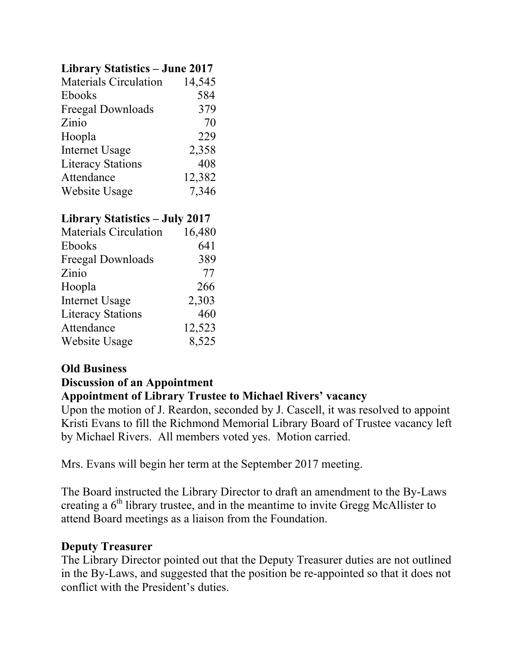# **Library Statistics – June 2017**

| <b>Materials Circulation</b> | 14,545 |
|------------------------------|--------|
| <b>Ebooks</b>                | 584    |
| Freegal Downloads            | 379    |
| Zinio                        | 70     |
| Hoopla                       | 229    |
| <b>Internet Usage</b>        | 2,358  |
| <b>Literacy Stations</b>     | 408    |
| Attendance                   | 12,382 |
| Website Usage                | 7,346  |
|                              |        |

# **Library Statistics – July 2017**

| <b>Materials Circulation</b> | 16,480 |
|------------------------------|--------|
| <b>Ebooks</b>                | 641    |
| Freegal Downloads            | 389    |
| Zinio                        | 77     |
| Hoopla                       | 266    |
| <b>Internet Usage</b>        | 2,303  |
| <b>Literacy Stations</b>     | 460    |
| Attendance                   | 12,523 |
| Website Usage                | 8,525  |

#### **Old Business Discussion of an Appointment**

## **Appointment of Library Trustee to Michael Rivers' vacancy**

Upon the motion of J. Reardon, seconded by J. Cascell, it was resolved to appoint Kristi Evans to fill the Richmond Memorial Library Board of Trustee vacancy left by Michael Rivers. All members voted yes. Motion carried.

Mrs. Evans will begin her term at the September 2017 meeting.

The Board instructed the Library Director to draft an amendment to the By-Laws creating a  $6<sup>th</sup>$  library trustee, and in the meantime to invite Gregg McAllister to attend Board meetings as a liaison from the Foundation.

## **Deputy Treasurer**

The Library Director pointed out that the Deputy Treasurer duties are not outlined in the By-Laws, and suggested that the position be re-appointed so that it does not conflict with the President's duties.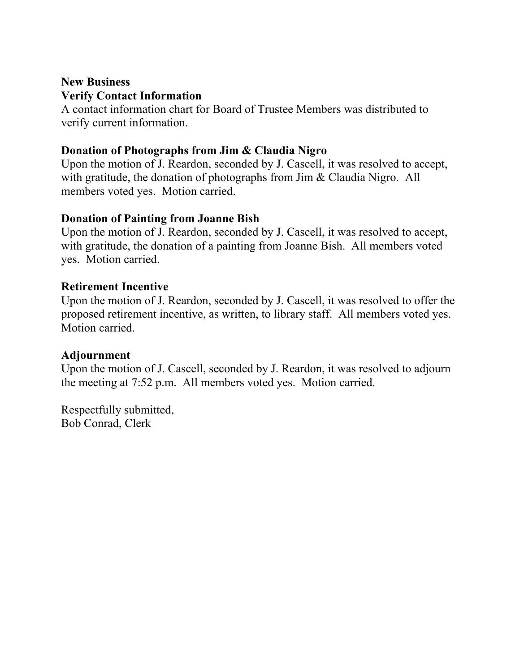## **New Business Verify Contact Information**

A contact information chart for Board of Trustee Members was distributed to verify current information.

## **Donation of Photographs from Jim & Claudia Nigro**

Upon the motion of J. Reardon, seconded by J. Cascell, it was resolved to accept, with gratitude, the donation of photographs from Jim & Claudia Nigro. All members voted yes. Motion carried.

## **Donation of Painting from Joanne Bish**

Upon the motion of J. Reardon, seconded by J. Cascell, it was resolved to accept, with gratitude, the donation of a painting from Joanne Bish. All members voted yes. Motion carried.

## **Retirement Incentive**

Upon the motion of J. Reardon, seconded by J. Cascell, it was resolved to offer the proposed retirement incentive, as written, to library staff. All members voted yes. Motion carried.

## **Adjournment**

Upon the motion of J. Cascell, seconded by J. Reardon, it was resolved to adjourn the meeting at 7:52 p.m. All members voted yes. Motion carried.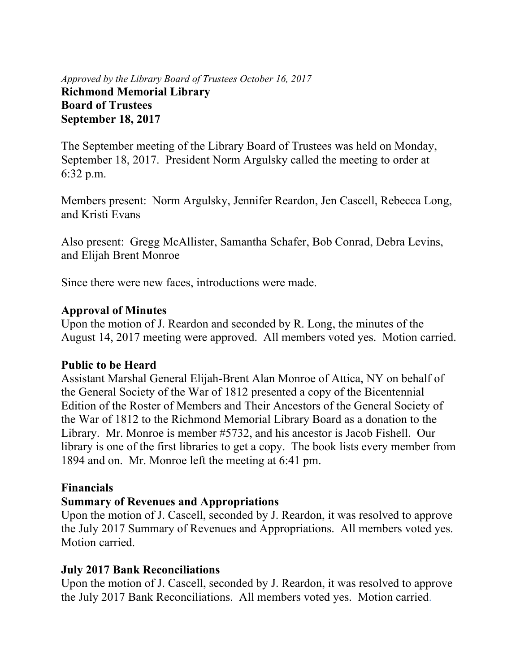## *Approved by the Library Board of Trustees October 16, 2017* **Richmond Memorial Library Board of Trustees September 18, 2017**

The September meeting of the Library Board of Trustees was held on Monday, September 18, 2017. President Norm Argulsky called the meeting to order at 6:32 p.m.

Members present: Norm Argulsky, Jennifer Reardon, Jen Cascell, Rebecca Long, and Kristi Evans

Also present: Gregg McAllister, Samantha Schafer, Bob Conrad, Debra Levins, and Elijah Brent Monroe

Since there were new faces, introductions were made.

#### **Approval of Minutes**

Upon the motion of J. Reardon and seconded by R. Long, the minutes of the August 14, 2017 meeting were approved. All members voted yes. Motion carried.

## **Public to be Heard**

Assistant Marshal General Elijah-Brent Alan Monroe of Attica, NY on behalf of the General Society of the War of 1812 presented a copy of the Bicentennial Edition of the Roster of Members and Their Ancestors of the General Society of the War of 1812 to the Richmond Memorial Library Board as a donation to the Library. Mr. Monroe is member #5732, and his ancestor is Jacob Fishell. Our library is one of the first libraries to get a copy. The book lists every member from 1894 and on. Mr. Monroe left the meeting at 6:41 pm.

## **Financials**

## **Summary of Revenues and Appropriations**

Upon the motion of J. Cascell, seconded by J. Reardon, it was resolved to approve the July 2017 Summary of Revenues and Appropriations. All members voted yes. Motion carried.

## **July 2017 Bank Reconciliations**

Upon the motion of J. Cascell, seconded by J. Reardon, it was resolved to approve the July 2017 Bank Reconciliations. All members voted yes. Motion carried.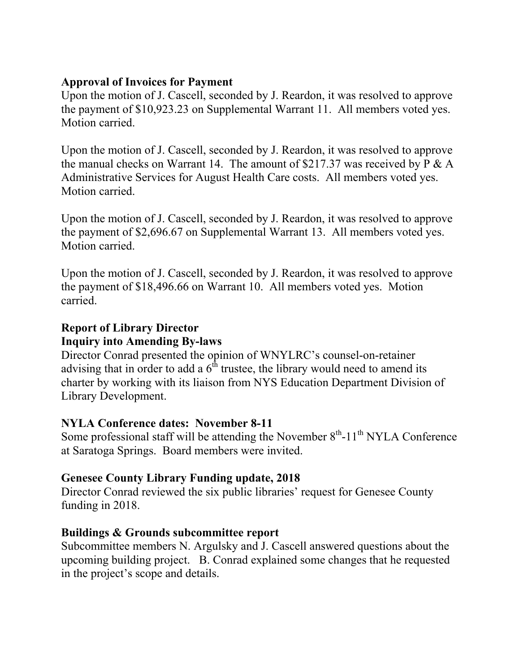## **Approval of Invoices for Payment**

Upon the motion of J. Cascell, seconded by J. Reardon, it was resolved to approve the payment of \$10,923.23 on Supplemental Warrant 11. All members voted yes. Motion carried.

Upon the motion of J. Cascell, seconded by J. Reardon, it was resolved to approve the manual checks on Warrant 14. The amount of  $$217.37$  was received by P & A Administrative Services for August Health Care costs. All members voted yes. Motion carried.

Upon the motion of J. Cascell, seconded by J. Reardon, it was resolved to approve the payment of \$2,696.67 on Supplemental Warrant 13. All members voted yes. Motion carried.

Upon the motion of J. Cascell, seconded by J. Reardon, it was resolved to approve the payment of \$18,496.66 on Warrant 10. All members voted yes. Motion carried.

# **Report of Library Director**

## **Inquiry into Amending By-laws**

Director Conrad presented the opinion of WNYLRC's counsel-on-retainer advising that in order to add a  $6<sup>th</sup>$  trustee, the library would need to amend its charter by working with its liaison from NYS Education Department Division of Library Development.

# **NYLA Conference dates: November 8-11**

Some professional staff will be attending the November  $8<sup>th</sup>$ -11<sup>th</sup> NYLA Conference at Saratoga Springs. Board members were invited.

# **Genesee County Library Funding update, 2018**

Director Conrad reviewed the six public libraries' request for Genesee County funding in 2018.

## **Buildings & Grounds subcommittee report**

Subcommittee members N. Argulsky and J. Cascell answered questions about the upcoming building project. B. Conrad explained some changes that he requested in the project's scope and details.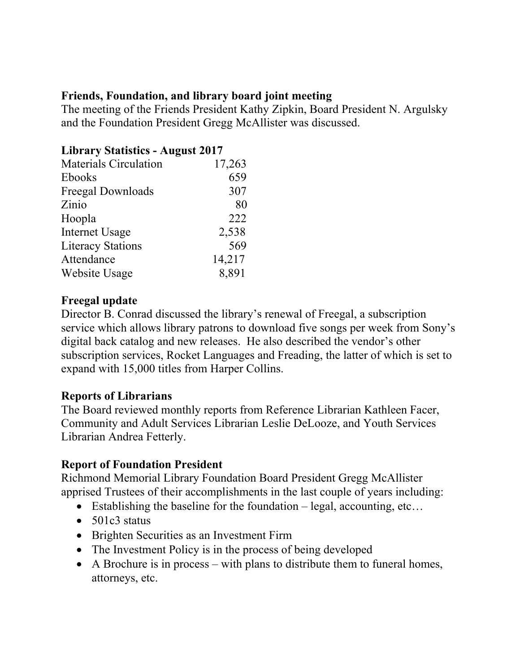## **Friends, Foundation, and library board joint meeting**

The meeting of the Friends President Kathy Zipkin, Board President N. Argulsky and the Foundation President Gregg McAllister was discussed.

# **Library Statistics - August 2017**

| <b>Materials Circulation</b> | 17,263 |
|------------------------------|--------|
| <b>Ebooks</b>                | 659    |
| Freegal Downloads            | 307    |
| Zinio                        | 80     |
| Hoopla                       | 222    |
| <b>Internet Usage</b>        | 2,538  |
| <b>Literacy Stations</b>     | 569    |
| Attendance                   | 14,217 |
| Website Usage                | 8,891  |

# **Freegal update**

Director B. Conrad discussed the library's renewal of Freegal, a subscription service which allows library patrons to download five songs per week from Sony's digital back catalog and new releases. He also described the vendor's other subscription services, Rocket Languages and Freading, the latter of which is set to expand with 15,000 titles from Harper Collins.

## **Reports of Librarians**

The Board reviewed monthly reports from Reference Librarian Kathleen Facer, Community and Adult Services Librarian Leslie DeLooze, and Youth Services Librarian Andrea Fetterly.

# **Report of Foundation President**

Richmond Memorial Library Foundation Board President Gregg McAllister apprised Trustees of their accomplishments in the last couple of years including:

- Establishing the baseline for the foundation legal, accounting, etc...
- $\bullet$  501c3 status
- Brighten Securities as an Investment Firm
- The Investment Policy is in the process of being developed
- A Brochure is in process with plans to distribute them to funeral homes, attorneys, etc.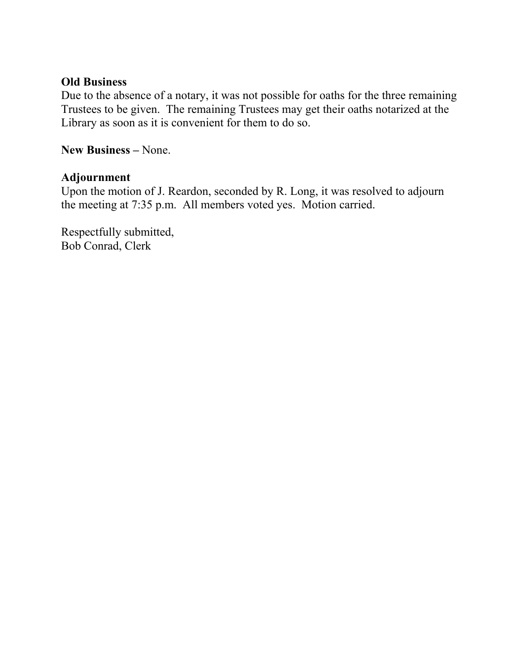#### **Old Business**

Due to the absence of a notary, it was not possible for oaths for the three remaining Trustees to be given. The remaining Trustees may get their oaths notarized at the Library as soon as it is convenient for them to do so.

**New Business –** None.

## **Adjournment**

Upon the motion of J. Reardon, seconded by R. Long, it was resolved to adjourn the meeting at 7:35 p.m. All members voted yes. Motion carried.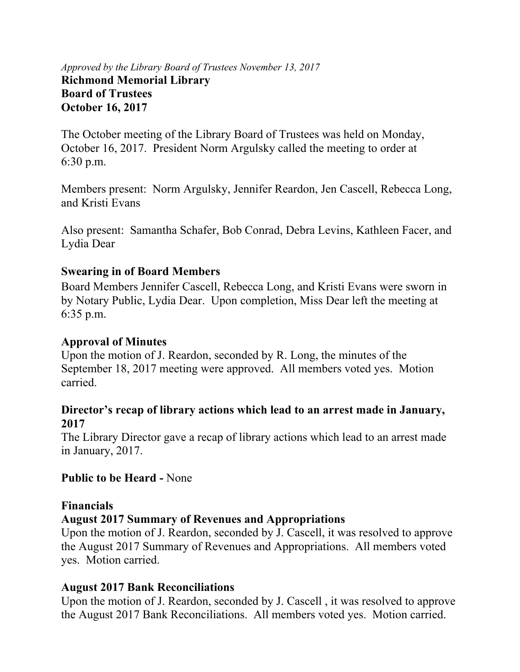## *Approved by the Library Board of Trustees November 13, 2017* **Richmond Memorial Library Board of Trustees October 16, 2017**

The October meeting of the Library Board of Trustees was held on Monday, October 16, 2017. President Norm Argulsky called the meeting to order at 6:30 p.m.

Members present: Norm Argulsky, Jennifer Reardon, Jen Cascell, Rebecca Long, and Kristi Evans

Also present: Samantha Schafer, Bob Conrad, Debra Levins, Kathleen Facer, and Lydia Dear

## **Swearing in of Board Members**

Board Members Jennifer Cascell, Rebecca Long, and Kristi Evans were sworn in by Notary Public, Lydia Dear. Upon completion, Miss Dear left the meeting at 6:35 p.m.

## **Approval of Minutes**

Upon the motion of J. Reardon, seconded by R. Long, the minutes of the September 18, 2017 meeting were approved. All members voted yes. Motion carried.

## **Director's recap of library actions which lead to an arrest made in January, 2017**

The Library Director gave a recap of library actions which lead to an arrest made in January, 2017.

# **Public to be Heard -** None

## **Financials**

# **August 2017 Summary of Revenues and Appropriations**

Upon the motion of J. Reardon, seconded by J. Cascell, it was resolved to approve the August 2017 Summary of Revenues and Appropriations. All members voted yes. Motion carried.

# **August 2017 Bank Reconciliations**

Upon the motion of J. Reardon, seconded by J. Cascell , it was resolved to approve the August 2017 Bank Reconciliations. All members voted yes. Motion carried.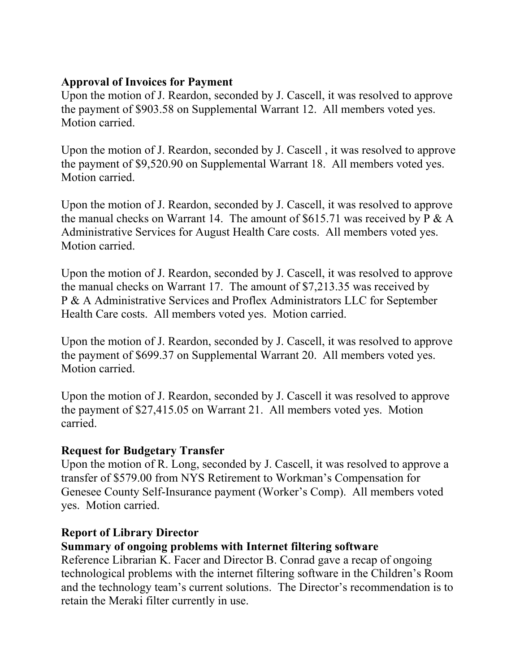## **Approval of Invoices for Payment**

Upon the motion of J. Reardon, seconded by J. Cascell, it was resolved to approve the payment of \$903.58 on Supplemental Warrant 12. All members voted yes. Motion carried.

Upon the motion of J. Reardon, seconded by J. Cascell , it was resolved to approve the payment of \$9,520.90 on Supplemental Warrant 18. All members voted yes. Motion carried.

Upon the motion of J. Reardon, seconded by J. Cascell, it was resolved to approve the manual checks on Warrant 14. The amount of  $$615.71$  was received by P & A Administrative Services for August Health Care costs. All members voted yes. Motion carried.

Upon the motion of J. Reardon, seconded by J. Cascell, it was resolved to approve the manual checks on Warrant 17. The amount of \$7,213.35 was received by P & A Administrative Services and Proflex Administrators LLC for September Health Care costs. All members voted yes. Motion carried.

Upon the motion of J. Reardon, seconded by J. Cascell, it was resolved to approve the payment of \$699.37 on Supplemental Warrant 20. All members voted yes. Motion carried.

Upon the motion of J. Reardon, seconded by J. Cascell it was resolved to approve the payment of \$27,415.05 on Warrant 21. All members voted yes. Motion carried.

## **Request for Budgetary Transfer**

Upon the motion of R. Long, seconded by J. Cascell, it was resolved to approve a transfer of \$579.00 from NYS Retirement to Workman's Compensation for Genesee County Self-Insurance payment (Worker's Comp). All members voted yes. Motion carried.

## **Report of Library Director**

## **Summary of ongoing problems with Internet filtering software**

Reference Librarian K. Facer and Director B. Conrad gave a recap of ongoing technological problems with the internet filtering software in the Children's Room and the technology team's current solutions. The Director's recommendation is to retain the Meraki filter currently in use.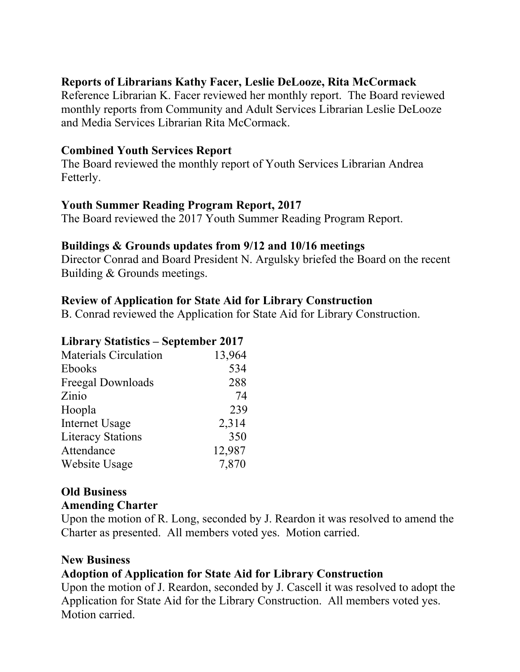## **Reports of Librarians Kathy Facer, Leslie DeLooze, Rita McCormack**

Reference Librarian K. Facer reviewed her monthly report. The Board reviewed monthly reports from Community and Adult Services Librarian Leslie DeLooze and Media Services Librarian Rita McCormack.

## **Combined Youth Services Report**

The Board reviewed the monthly report of Youth Services Librarian Andrea Fetterly.

## **Youth Summer Reading Program Report, 2017**

The Board reviewed the 2017 Youth Summer Reading Program Report.

#### **Buildings & Grounds updates from 9/12 and 10/16 meetings**

Director Conrad and Board President N. Argulsky briefed the Board on the recent Building & Grounds meetings.

## **Review of Application for State Aid for Library Construction**

B. Conrad reviewed the Application for State Aid for Library Construction.

#### **Library Statistics – September 2017**

| <b>Materials Circulation</b> | 13,964 |
|------------------------------|--------|
| <b>Ebooks</b>                | 534    |
| Freegal Downloads            | 288    |
| Zinio                        | 74     |
| Hoopla                       | 239    |
| <b>Internet Usage</b>        | 2,314  |
| <b>Literacy Stations</b>     | 350    |
| Attendance                   | 12,987 |
| Website Usage                | 7,870  |

# **Old Business**

#### **Amending Charter**

Upon the motion of R. Long, seconded by J. Reardon it was resolved to amend the Charter as presented. All members voted yes. Motion carried.

#### **New Business**

## **Adoption of Application for State Aid for Library Construction**

Upon the motion of J. Reardon, seconded by J. Cascell it was resolved to adopt the Application for State Aid for the Library Construction. All members voted yes. Motion carried.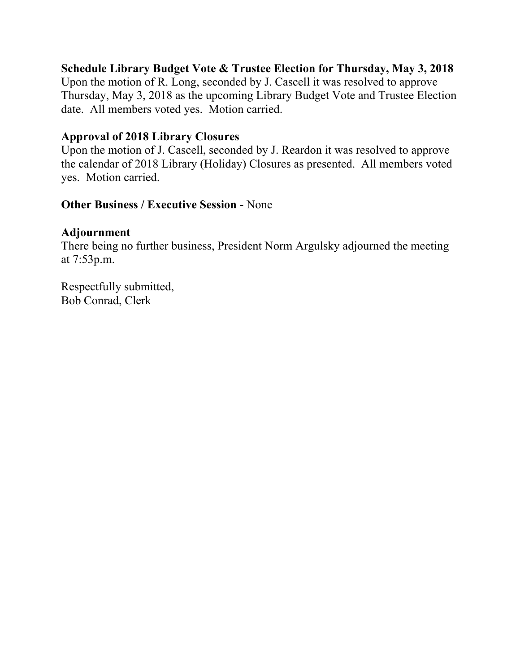## **Schedule Library Budget Vote & Trustee Election for Thursday, May 3, 2018**

Upon the motion of R. Long, seconded by J. Cascell it was resolved to approve Thursday, May 3, 2018 as the upcoming Library Budget Vote and Trustee Election date. All members voted yes. Motion carried.

## **Approval of 2018 Library Closures**

Upon the motion of J. Cascell, seconded by J. Reardon it was resolved to approve the calendar of 2018 Library (Holiday) Closures as presented. All members voted yes. Motion carried.

## **Other Business / Executive Session** - None

## **Adjournment**

There being no further business, President Norm Argulsky adjourned the meeting at 7:53p.m.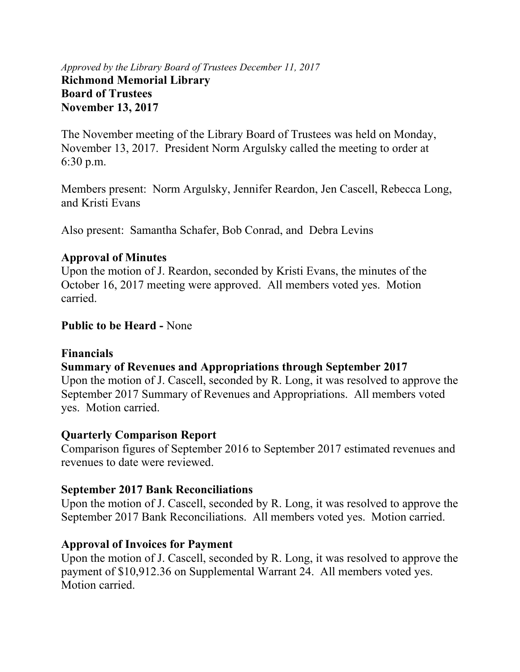## *Approved by the Library Board of Trustees December 11, 2017* **Richmond Memorial Library Board of Trustees November 13, 2017**

The November meeting of the Library Board of Trustees was held on Monday, November 13, 2017. President Norm Argulsky called the meeting to order at 6:30 p.m.

Members present: Norm Argulsky, Jennifer Reardon, Jen Cascell, Rebecca Long, and Kristi Evans

Also present: Samantha Schafer, Bob Conrad, and Debra Levins

## **Approval of Minutes**

Upon the motion of J. Reardon, seconded by Kristi Evans, the minutes of the October 16, 2017 meeting were approved. All members voted yes. Motion carried.

## **Public to be Heard -** None

## **Financials**

# **Summary of Revenues and Appropriations through September 2017**

Upon the motion of J. Cascell, seconded by R. Long, it was resolved to approve the September 2017 Summary of Revenues and Appropriations. All members voted yes. Motion carried.

## **Quarterly Comparison Report**

Comparison figures of September 2016 to September 2017 estimated revenues and revenues to date were reviewed.

## **September 2017 Bank Reconciliations**

Upon the motion of J. Cascell, seconded by R. Long, it was resolved to approve the September 2017 Bank Reconciliations. All members voted yes. Motion carried.

# **Approval of Invoices for Payment**

Upon the motion of J. Cascell, seconded by R. Long, it was resolved to approve the payment of \$10,912.36 on Supplemental Warrant 24. All members voted yes. Motion carried.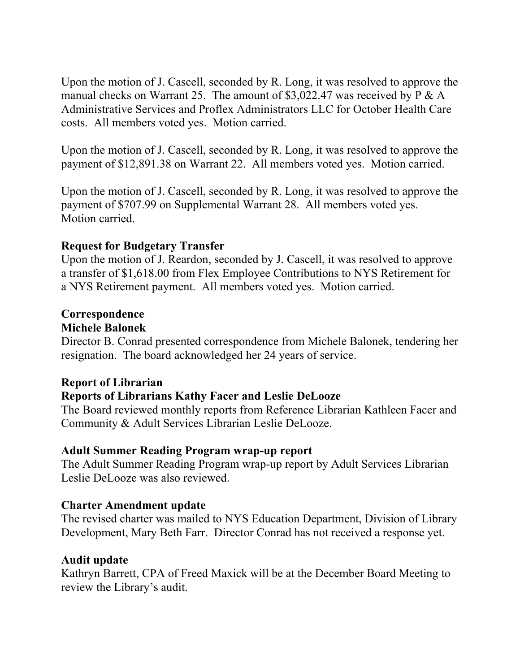Upon the motion of J. Cascell, seconded by R. Long, it was resolved to approve the manual checks on Warrant 25. The amount of \$3,022.47 was received by  $P \& A$ Administrative Services and Proflex Administrators LLC for October Health Care costs. All members voted yes. Motion carried.

Upon the motion of J. Cascell, seconded by R. Long, it was resolved to approve the payment of \$12,891.38 on Warrant 22. All members voted yes. Motion carried.

Upon the motion of J. Cascell, seconded by R. Long, it was resolved to approve the payment of \$707.99 on Supplemental Warrant 28. All members voted yes. Motion carried.

## **Request for Budgetary Transfer**

Upon the motion of J. Reardon, seconded by J. Cascell, it was resolved to approve a transfer of \$1,618.00 from Flex Employee Contributions to NYS Retirement for a NYS Retirement payment. All members voted yes. Motion carried.

# **Correspondence**

## **Michele Balonek**

Director B. Conrad presented correspondence from Michele Balonek, tendering her resignation. The board acknowledged her 24 years of service.

## **Report of Librarian**

# **Reports of Librarians Kathy Facer and Leslie DeLooze**

The Board reviewed monthly reports from Reference Librarian Kathleen Facer and Community & Adult Services Librarian Leslie DeLooze.

## **Adult Summer Reading Program wrap-up report**

The Adult Summer Reading Program wrap-up report by Adult Services Librarian Leslie DeLooze was also reviewed.

## **Charter Amendment update**

The revised charter was mailed to NYS Education Department, Division of Library Development, Mary Beth Farr. Director Conrad has not received a response yet.

## **Audit update**

Kathryn Barrett, CPA of Freed Maxick will be at the December Board Meeting to review the Library's audit.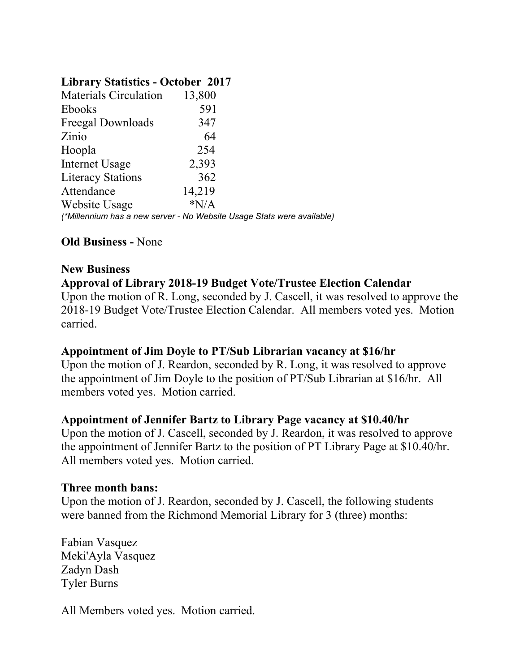## **Library Statistics - October 2017**

| <b>Materials Circulation</b>                                           | 13,800 |  |
|------------------------------------------------------------------------|--------|--|
| <b>Ebooks</b>                                                          | 591    |  |
| <b>Freegal Downloads</b>                                               | 347    |  |
| Zinio                                                                  | 64     |  |
| Hoopla                                                                 | 254    |  |
| Internet Usage                                                         | 2,393  |  |
| <b>Literacy Stations</b>                                               | 362    |  |
| Attendance                                                             | 14,219 |  |
| Website Usage                                                          | $*N/A$ |  |
| (*Millennium has a new server - No Website Usage Stats were available) |        |  |

# **Old Business -** None

## **New Business**

## **Approval of Library 2018-19 Budget Vote/Trustee Election Calendar**

Upon the motion of R. Long, seconded by J. Cascell, it was resolved to approve the 2018-19 Budget Vote/Trustee Election Calendar. All members voted yes. Motion carried.

## **Appointment of Jim Doyle to PT/Sub Librarian vacancy at \$16/hr**

Upon the motion of J. Reardon, seconded by R. Long, it was resolved to approve the appointment of Jim Doyle to the position of PT/Sub Librarian at \$16/hr. All members voted yes. Motion carried.

## **Appointment of Jennifer Bartz to Library Page vacancy at \$10.40/hr**

Upon the motion of J. Cascell, seconded by J. Reardon, it was resolved to approve the appointment of Jennifer Bartz to the position of PT Library Page at \$10.40/hr. All members voted yes. Motion carried.

#### **Three month bans:**

Upon the motion of J. Reardon, seconded by J. Cascell, the following students were banned from the Richmond Memorial Library for 3 (three) months:

Fabian Vasquez Meki'Ayla Vasquez Zadyn Dash Tyler Burns

All Members voted yes. Motion carried.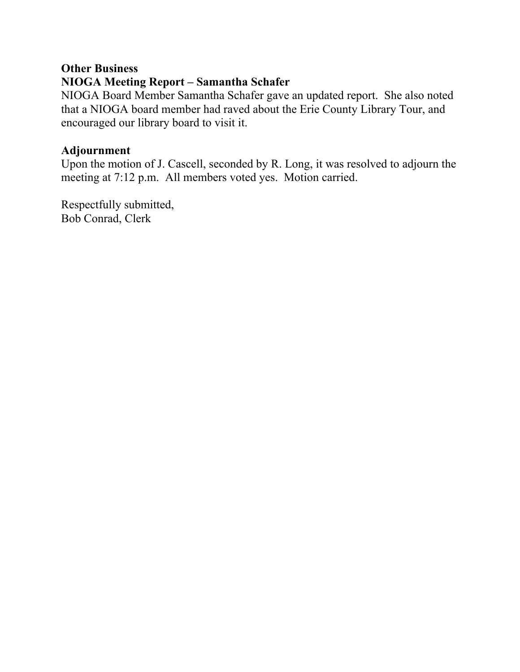## **Other Business**

# **NIOGA Meeting Report – Samantha Schafer**

NIOGA Board Member Samantha Schafer gave an updated report. She also noted that a NIOGA board member had raved about the Erie County Library Tour, and encouraged our library board to visit it.

#### **Adjournment**

Upon the motion of J. Cascell, seconded by R. Long, it was resolved to adjourn the meeting at 7:12 p.m. All members voted yes. Motion carried.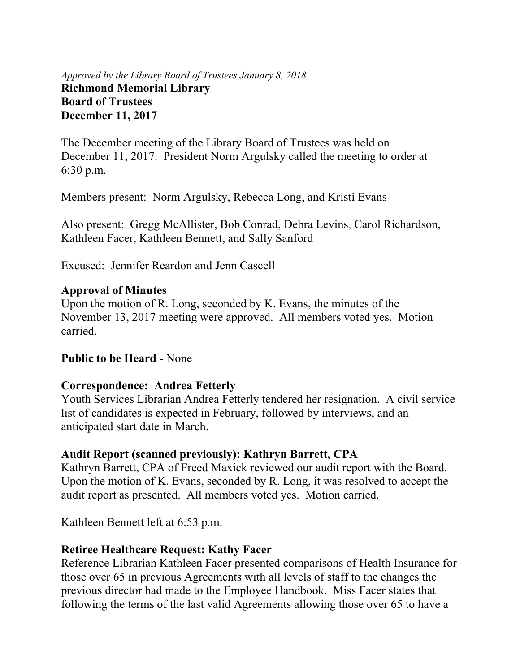## *Approved by the Library Board of Trustees January 8, 2018* **Richmond Memorial Library Board of Trustees December 11, 2017**

The December meeting of the Library Board of Trustees was held on December 11, 2017. President Norm Argulsky called the meeting to order at 6:30 p.m.

Members present: Norm Argulsky, Rebecca Long, and Kristi Evans

Also present: Gregg McAllister, Bob Conrad, Debra Levins, Carol Richardson, Kathleen Facer, Kathleen Bennett, and Sally Sanford

Excused: Jennifer Reardon and Jenn Cascell

#### **Approval of Minutes**

Upon the motion of R. Long, seconded by K. Evans, the minutes of the November 13, 2017 meeting were approved. All members voted yes. Motion carried.

## **Public to be Heard** - None

## **Correspondence: Andrea Fetterly**

Youth Services Librarian Andrea Fetterly tendered her resignation. A civil service list of candidates is expected in February, followed by interviews, and an anticipated start date in March.

## **Audit Report (scanned previously): Kathryn Barrett, CPA**

Kathryn Barrett, CPA of Freed Maxick reviewed our audit report with the Board. Upon the motion of K. Evans, seconded by R. Long, it was resolved to accept the audit report as presented. All members voted yes. Motion carried.

Kathleen Bennett left at 6:53 p.m.

## **Retiree Healthcare Request: Kathy Facer**

Reference Librarian Kathleen Facer presented comparisons of Health Insurance for those over 65 in previous Agreements with all levels of staff to the changes the previous director had made to the Employee Handbook. Miss Facer states that following the terms of the last valid Agreements allowing those over 65 to have a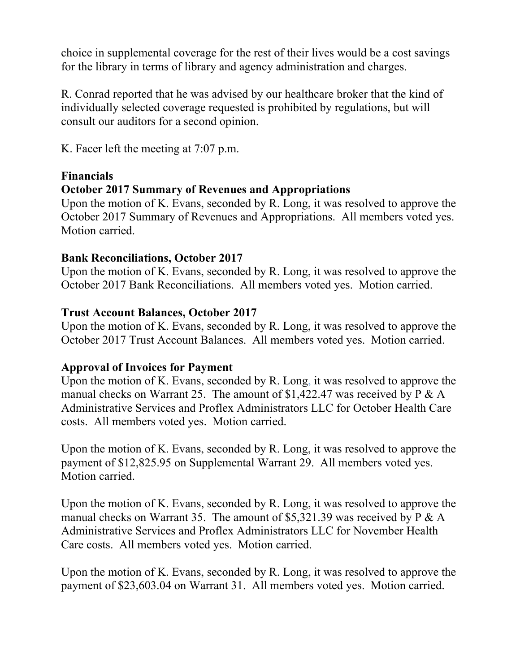choice in supplemental coverage for the rest of their lives would be a cost savings for the library in terms of library and agency administration and charges.

R. Conrad reported that he was advised by our healthcare broker that the kind of individually selected coverage requested is prohibited by regulations, but will consult our auditors for a second opinion.

K. Facer left the meeting at 7:07 p.m.

## **Financials**

## **October 2017 Summary of Revenues and Appropriations**

Upon the motion of K. Evans, seconded by R. Long, it was resolved to approve the October 2017 Summary of Revenues and Appropriations. All members voted yes. Motion carried.

## **Bank Reconciliations, October 2017**

Upon the motion of K. Evans, seconded by R. Long, it was resolved to approve the October 2017 Bank Reconciliations. All members voted yes. Motion carried.

## **Trust Account Balances, October 2017**

Upon the motion of K. Evans, seconded by R. Long, it was resolved to approve the October 2017 Trust Account Balances. All members voted yes. Motion carried.

# **Approval of Invoices for Payment**

Upon the motion of K. Evans, seconded by R. Long, it was resolved to approve the manual checks on Warrant 25. The amount of \$1,422.47 was received by P & A Administrative Services and Proflex Administrators LLC for October Health Care costs. All members voted yes. Motion carried.

Upon the motion of K. Evans, seconded by R. Long, it was resolved to approve the payment of \$12,825.95 on Supplemental Warrant 29. All members voted yes. Motion carried.

Upon the motion of K. Evans, seconded by R. Long, it was resolved to approve the manual checks on Warrant 35. The amount of \$5,321.39 was received by P & A Administrative Services and Proflex Administrators LLC for November Health Care costs. All members voted yes. Motion carried.

Upon the motion of K. Evans, seconded by R. Long, it was resolved to approve the payment of \$23,603.04 on Warrant 31. All members voted yes. Motion carried.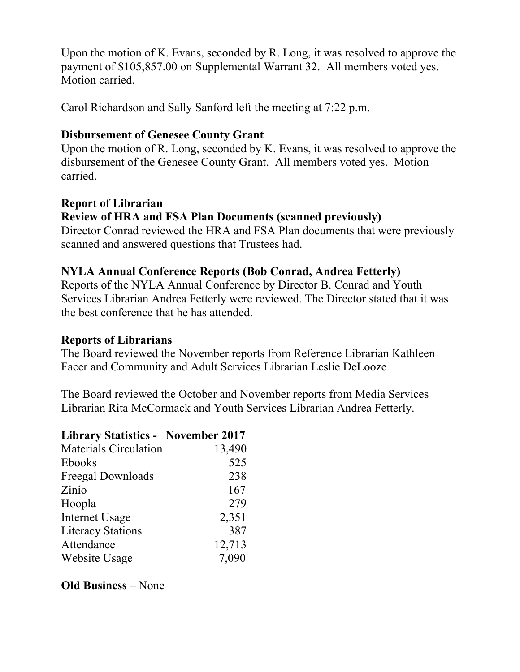Upon the motion of K. Evans, seconded by R. Long, it was resolved to approve the payment of \$105,857.00 on Supplemental Warrant 32. All members voted yes. Motion carried.

Carol Richardson and Sally Sanford left the meeting at 7:22 p.m.

## **Disbursement of Genesee County Grant**

Upon the motion of R. Long, seconded by K. Evans, it was resolved to approve the disbursement of the Genesee County Grant. All members voted yes. Motion carried.

#### **Report of Librarian Review of HRA and FSA Plan Documents (scanned previously)**

Director Conrad reviewed the HRA and FSA Plan documents that were previously scanned and answered questions that Trustees had.

# **NYLA Annual Conference Reports (Bob Conrad, Andrea Fetterly)**

Reports of the NYLA Annual Conference by Director B. Conrad and Youth Services Librarian Andrea Fetterly were reviewed. The Director stated that it was the best conference that he has attended.

## **Reports of Librarians**

The Board reviewed the November reports from Reference Librarian Kathleen Facer and Community and Adult Services Librarian Leslie DeLooze

The Board reviewed the October and November reports from Media Services Librarian Rita McCormack and Youth Services Librarian Andrea Fetterly.

| <b>Library Statistics - November 2017</b> |        |
|-------------------------------------------|--------|
| <b>Materials Circulation</b>              | 13,490 |
| <b>Ebooks</b>                             | 525    |
| Freegal Downloads                         | 238    |
| Zinio                                     | 167    |
| Hoopla                                    | 279    |
| <b>Internet Usage</b>                     | 2,351  |
| <b>Literacy Stations</b>                  | 387    |
| Attendance                                | 12,713 |
| Website Usage                             | 7,090  |

# **Old Business** – None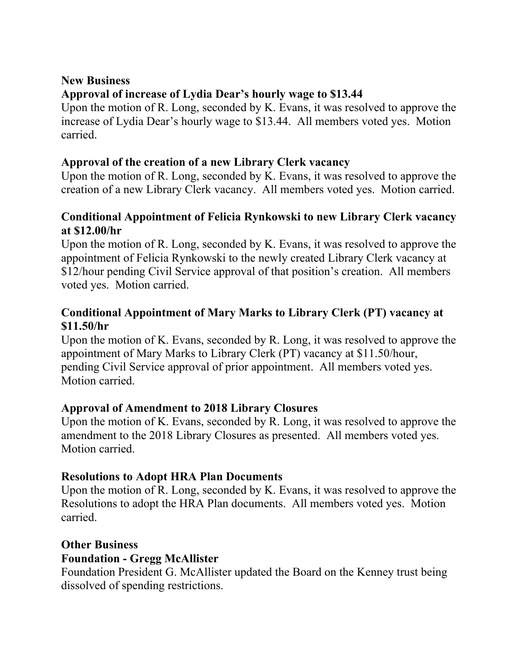## **New Business**

# **Approval of increase of Lydia Dear's hourly wage to \$13.44**

Upon the motion of R. Long, seconded by K. Evans, it was resolved to approve the increase of Lydia Dear's hourly wage to \$13.44. All members voted yes. Motion carried.

## **Approval of the creation of a new Library Clerk vacancy**

Upon the motion of R. Long, seconded by K. Evans, it was resolved to approve the creation of a new Library Clerk vacancy. All members voted yes. Motion carried.

## **Conditional Appointment of Felicia Rynkowski to new Library Clerk vacancy at \$12.00/hr**

Upon the motion of R. Long, seconded by K. Evans, it was resolved to approve the appointment of Felicia Rynkowski to the newly created Library Clerk vacancy at \$12/hour pending Civil Service approval of that position's creation. All members voted yes. Motion carried.

# **Conditional Appointment of Mary Marks to Library Clerk (PT) vacancy at \$11.50/hr**

Upon the motion of K. Evans, seconded by R. Long, it was resolved to approve the appointment of Mary Marks to Library Clerk (PT) vacancy at \$11.50/hour, pending Civil Service approval of prior appointment. All members voted yes. Motion carried.

# **Approval of Amendment to 2018 Library Closures**

Upon the motion of K. Evans, seconded by R. Long, it was resolved to approve the amendment to the 2018 Library Closures as presented. All members voted yes. Motion carried.

# **Resolutions to Adopt HRA Plan Documents**

Upon the motion of R. Long, seconded by K. Evans, it was resolved to approve the Resolutions to adopt the HRA Plan documents. All members voted yes. Motion carried.

## **Other Business**

## **Foundation - Gregg McAllister**

Foundation President G. McAllister updated the Board on the Kenney trust being dissolved of spending restrictions.